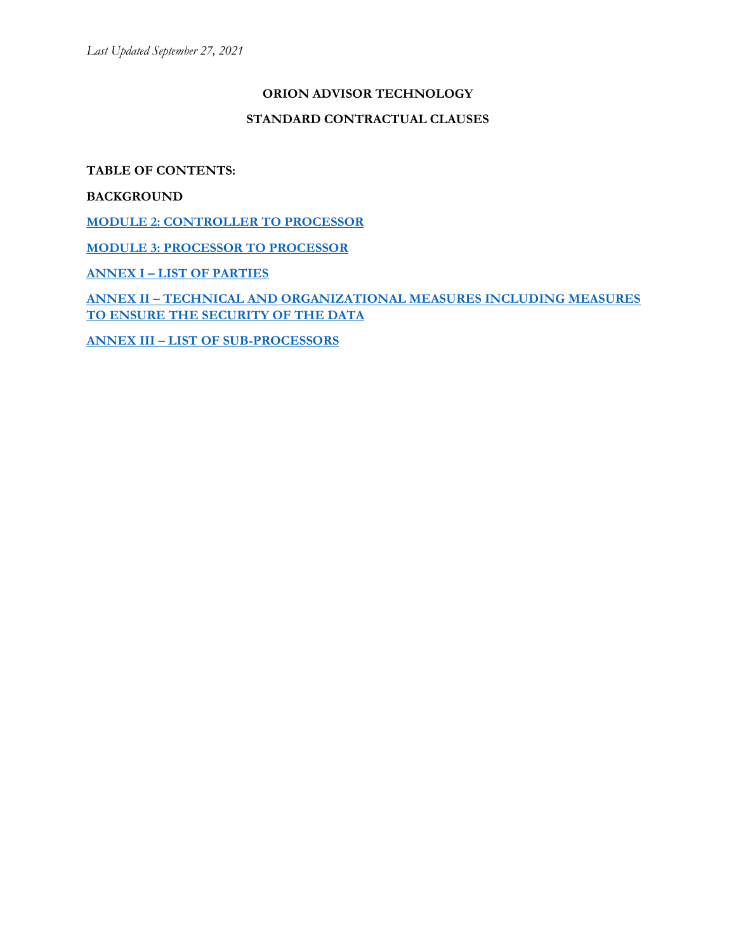# **ORION ADVISOR TECHNOLOGY**

# **STANDARD CONTRACTUAL CLAUSES**

**TABLE OF CONTENTS:**

**BACKGROUND**

<span id="page-0-0"></span>**[MODULE 2: CONTROLLER TO PROCESSOR](#page-2-0)**

<span id="page-0-1"></span>**[MODULE 3: PROCESSOR TO PROCESSOR](#page-15-0)**

<span id="page-0-2"></span>**ANNEX I – [LIST OF PARTIES](#page-31-0)**

**ANNEX II – [TECHNICAL AND ORGANIZATIONAL MEASURES INCLUDING MEASURES](#page-32-0)  [TO ENSURE THE SECURITY OF THE DATA](#page-32-0)**

**ANNEX III – [LIST OF SUB-PROCESSORS](#page-34-0)**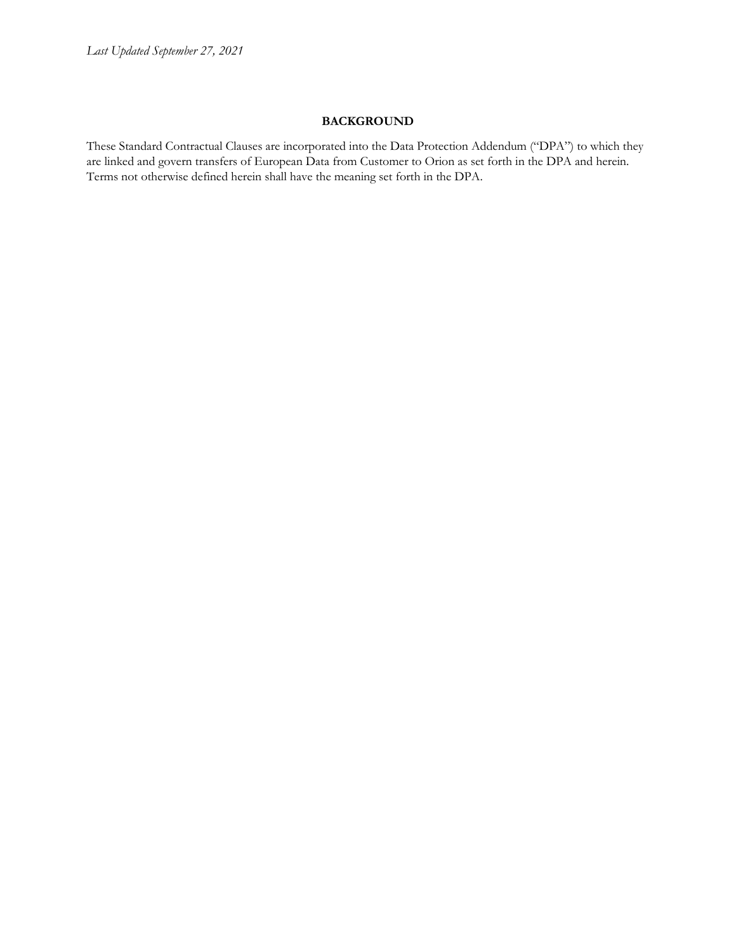# **BACKGROUND**

These Standard Contractual Clauses are incorporated into the Data Protection Addendum ("DPA") to which they are linked and govern transfers of European Data from Customer to Orion as set forth in the DPA and herein. Terms not otherwise defined herein shall have the meaning set forth in the DPA.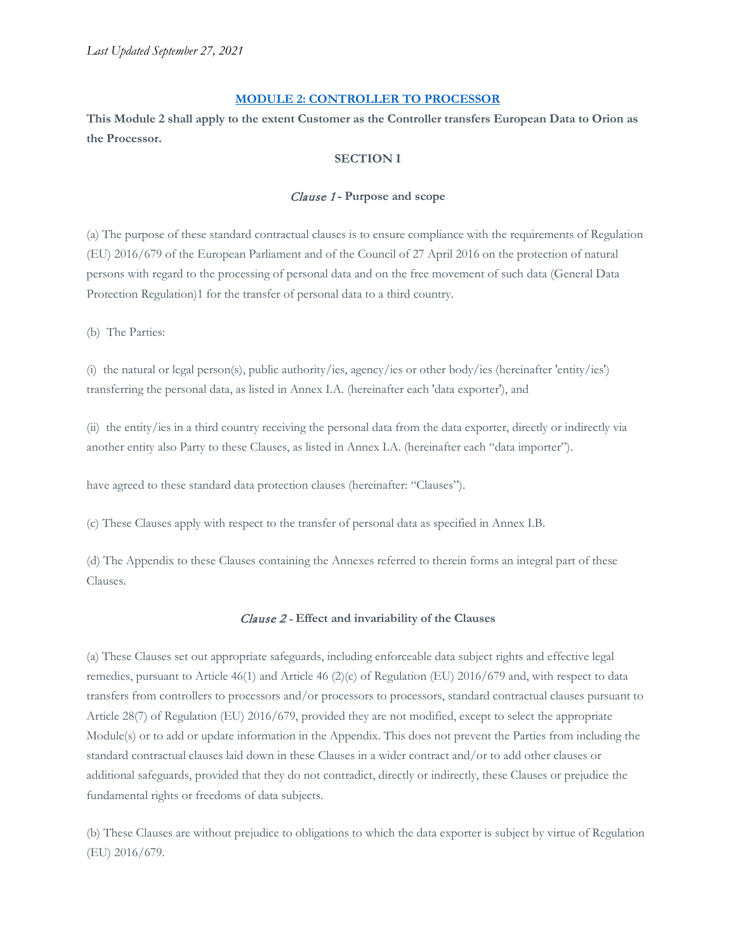# **[MODULE 2: CONTROLLER TO PROCESSOR](#page-0-0)**

<span id="page-2-0"></span>**This Module 2 shall apply to the extent Customer as the Controller transfers European Data to Orion as the Processor.** 

# **SECTION I**

# Clause 1 **- Purpose and scope**

(a) The purpose of these standard contractual clauses is to ensure compliance with the requirements of Regulation (EU) 2016/679 of the European Parliament and of the Council of 27 April 2016 on the protection of natural persons with regard to the processing of personal data and on the free movement of such data (General Data Protection Regulation)1 for the transfer of personal data to a third country.

(b) The Parties:

(i) the natural or legal person(s), public authority/ies, agency/ies or other body/ies (hereinafter 'entity/ies') transferring the personal data, as listed in Annex I.A. (hereinafter each 'data exporter'), and

(ii) the entity/ies in a third country receiving the personal data from the data exporter, directly or indirectly via another entity also Party to these Clauses, as listed in Annex I.A. (hereinafter each "data importer").

have agreed to these standard data protection clauses (hereinafter: "Clauses").

(c) These Clauses apply with respect to the transfer of personal data as specified in Annex I.B.

(d) The Appendix to these Clauses containing the Annexes referred to therein forms an integral part of these Clauses.

# Clause 2 - **Effect and invariability of the Clauses**

(a) These Clauses set out appropriate safeguards, including enforceable data subject rights and effective legal remedies, pursuant to Article 46(1) and Article 46 (2)(c) of Regulation (EU) 2016/679 and, with respect to data transfers from controllers to processors and/or processors to processors, standard contractual clauses pursuant to Article 28(7) of Regulation (EU) 2016/679, provided they are not modified, except to select the appropriate Module(s) or to add or update information in the Appendix. This does not prevent the Parties from including the standard contractual clauses laid down in these Clauses in a wider contract and/or to add other clauses or additional safeguards, provided that they do not contradict, directly or indirectly, these Clauses or prejudice the fundamental rights or freedoms of data subjects.

(b) These Clauses are without prejudice to obligations to which the data exporter is subject by virtue of Regulation (EU) 2016/679.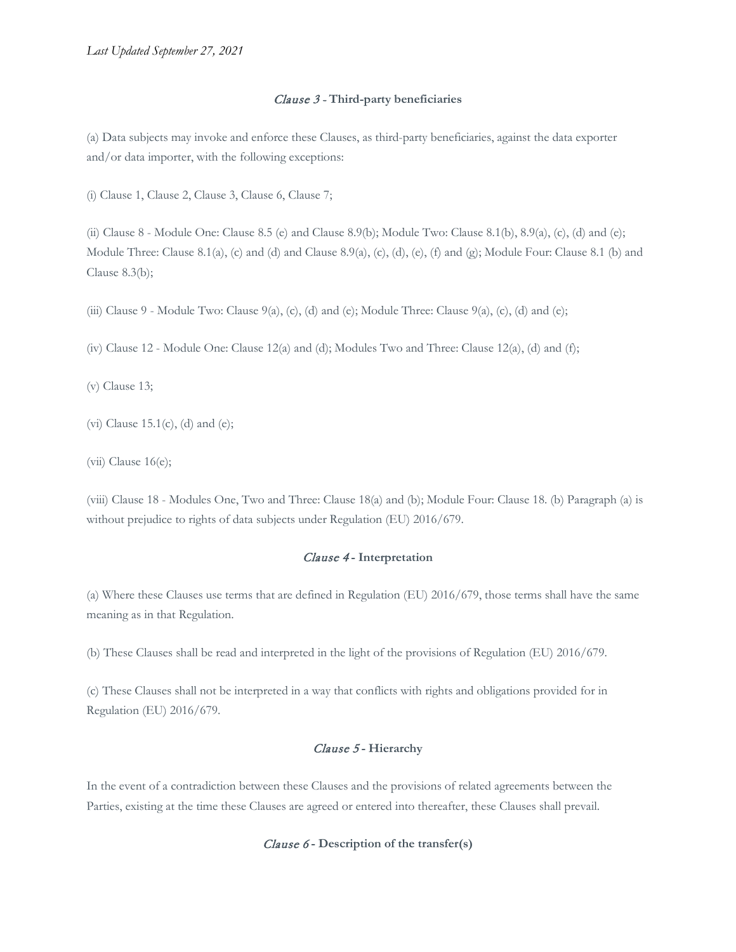# Clause 3 - **Third-party beneficiaries**

(a) Data subjects may invoke and enforce these Clauses, as third-party beneficiaries, against the data exporter and/or data importer, with the following exceptions:

(i) Clause 1, Clause 2, Clause 3, Clause 6, Clause 7;

(ii) Clause 8 - Module One: Clause 8.5 (e) and Clause 8.9(b); Module Two: Clause 8.1(b), 8.9(a), (c), (d) and (e); Module Three: Clause 8.1(a), (c) and (d) and Clause 8.9(a), (c), (d), (e), (f) and (g); Module Four: Clause 8.1 (b) and Clause 8.3(b);

(iii) Clause 9 - Module Two: Clause 9(a), (c), (d) and (e); Module Three: Clause 9(a), (c), (d) and (e);

(iv) Clause  $12$  - Module One: Clause  $12(a)$  and (d); Modules Two and Three: Clause  $12(a)$ , (d) and (f);

(v) Clause 13;

(vi) Clause  $15.1(c)$ , (d) and (e);

(vii) Clause  $16(e)$ ;

(viii) Clause 18 - Modules One, Two and Three: Clause 18(a) and (b); Module Four: Clause 18. (b) Paragraph (a) is without prejudice to rights of data subjects under Regulation (EU) 2016/679.

# Clause 4 **- Interpretation**

(a) Where these Clauses use terms that are defined in Regulation (EU) 2016/679, those terms shall have the same meaning as in that Regulation.

(b) These Clauses shall be read and interpreted in the light of the provisions of Regulation (EU) 2016/679.

(c) These Clauses shall not be interpreted in a way that conflicts with rights and obligations provided for in Regulation (EU) 2016/679.

# Clause 5 **- Hierarchy**

In the event of a contradiction between these Clauses and the provisions of related agreements between the Parties, existing at the time these Clauses are agreed or entered into thereafter, these Clauses shall prevail.

# Clause 6 **- Description of the transfer(s)**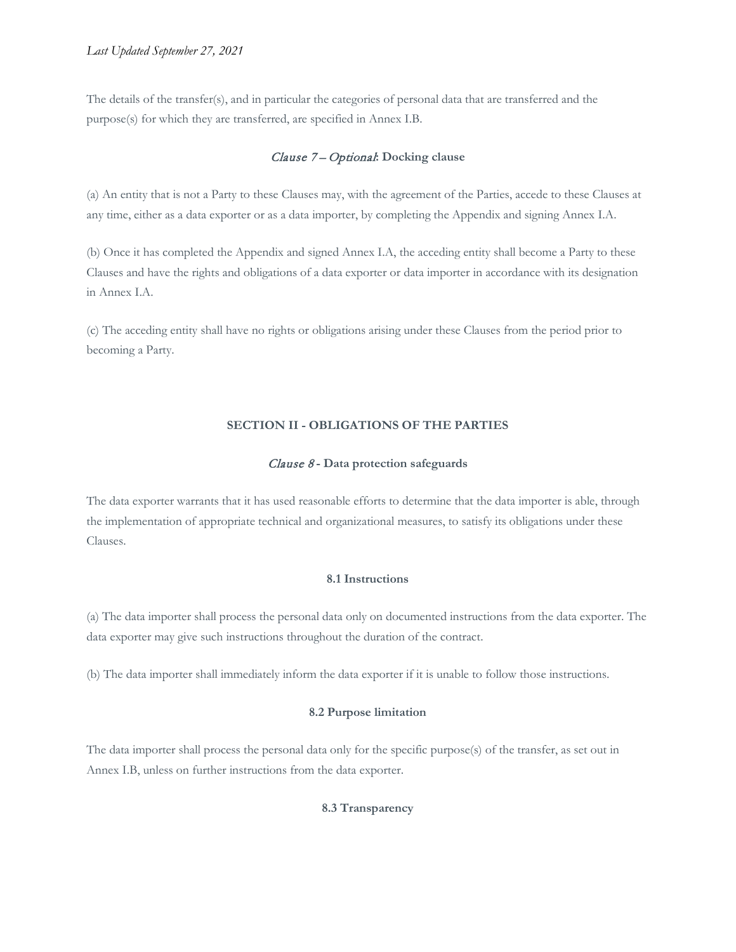The details of the transfer(s), and in particular the categories of personal data that are transferred and the purpose(s) for which they are transferred, are specified in Annex I.B.

# Clause 7 – Optional**: Docking clause**

(a) An entity that is not a Party to these Clauses may, with the agreement of the Parties, accede to these Clauses at any time, either as a data exporter or as a data importer, by completing the Appendix and signing Annex I.A.

(b) Once it has completed the Appendix and signed Annex I.A, the acceding entity shall become a Party to these Clauses and have the rights and obligations of a data exporter or data importer in accordance with its designation in Annex I.A.

(c) The acceding entity shall have no rights or obligations arising under these Clauses from the period prior to becoming a Party.

# **SECTION II - OBLIGATIONS OF THE PARTIES**

# Clause 8 **- Data protection safeguards**

The data exporter warrants that it has used reasonable efforts to determine that the data importer is able, through the implementation of appropriate technical and organizational measures, to satisfy its obligations under these Clauses.

# **8.1 Instructions**

(a) The data importer shall process the personal data only on documented instructions from the data exporter. The data exporter may give such instructions throughout the duration of the contract.

(b) The data importer shall immediately inform the data exporter if it is unable to follow those instructions.

# **8.2 Purpose limitation**

The data importer shall process the personal data only for the specific purpose(s) of the transfer, as set out in Annex I.B, unless on further instructions from the data exporter.

# **8.3 Transparency**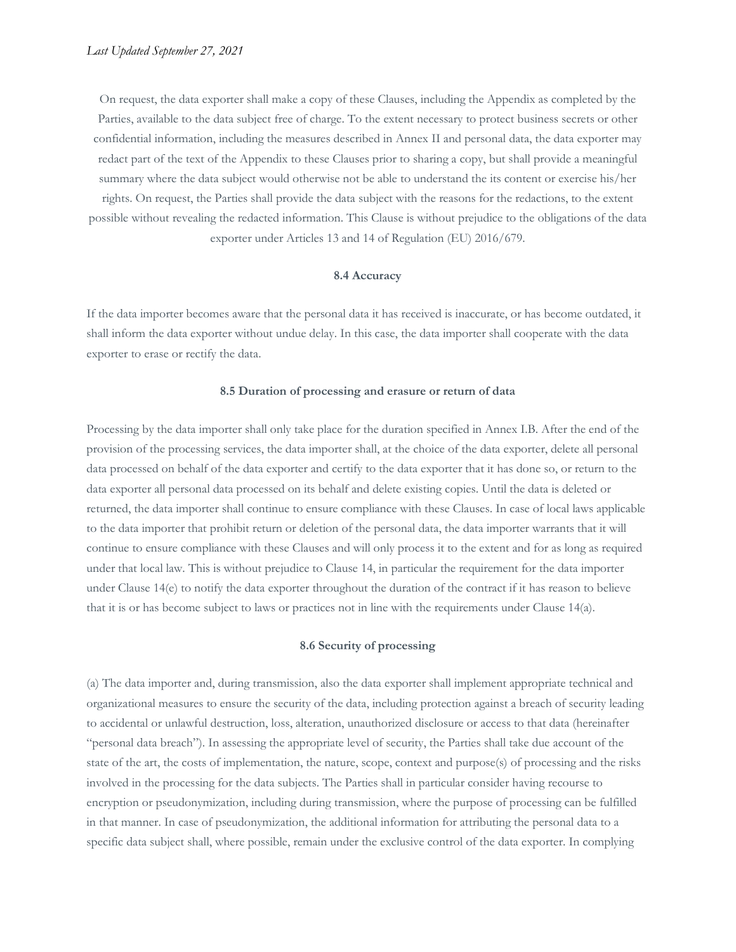On request, the data exporter shall make a copy of these Clauses, including the Appendix as completed by the Parties, available to the data subject free of charge. To the extent necessary to protect business secrets or other confidential information, including the measures described in Annex II and personal data, the data exporter may redact part of the text of the Appendix to these Clauses prior to sharing a copy, but shall provide a meaningful summary where the data subject would otherwise not be able to understand the its content or exercise his/her rights. On request, the Parties shall provide the data subject with the reasons for the redactions, to the extent possible without revealing the redacted information. This Clause is without prejudice to the obligations of the data exporter under Articles 13 and 14 of Regulation (EU) 2016/679.

#### **8.4 Accuracy**

If the data importer becomes aware that the personal data it has received is inaccurate, or has become outdated, it shall inform the data exporter without undue delay. In this case, the data importer shall cooperate with the data exporter to erase or rectify the data.

#### **8.5 Duration of processing and erasure or return of data**

Processing by the data importer shall only take place for the duration specified in Annex I.B. After the end of the provision of the processing services, the data importer shall, at the choice of the data exporter, delete all personal data processed on behalf of the data exporter and certify to the data exporter that it has done so, or return to the data exporter all personal data processed on its behalf and delete existing copies. Until the data is deleted or returned, the data importer shall continue to ensure compliance with these Clauses. In case of local laws applicable to the data importer that prohibit return or deletion of the personal data, the data importer warrants that it will continue to ensure compliance with these Clauses and will only process it to the extent and for as long as required under that local law. This is without prejudice to Clause 14, in particular the requirement for the data importer under Clause 14(e) to notify the data exporter throughout the duration of the contract if it has reason to believe that it is or has become subject to laws or practices not in line with the requirements under Clause 14(a).

#### **8.6 Security of processing**

(a) The data importer and, during transmission, also the data exporter shall implement appropriate technical and organizational measures to ensure the security of the data, including protection against a breach of security leading to accidental or unlawful destruction, loss, alteration, unauthorized disclosure or access to that data (hereinafter "personal data breach"). In assessing the appropriate level of security, the Parties shall take due account of the state of the art, the costs of implementation, the nature, scope, context and purpose(s) of processing and the risks involved in the processing for the data subjects. The Parties shall in particular consider having recourse to encryption or pseudonymization, including during transmission, where the purpose of processing can be fulfilled in that manner. In case of pseudonymization, the additional information for attributing the personal data to a specific data subject shall, where possible, remain under the exclusive control of the data exporter. In complying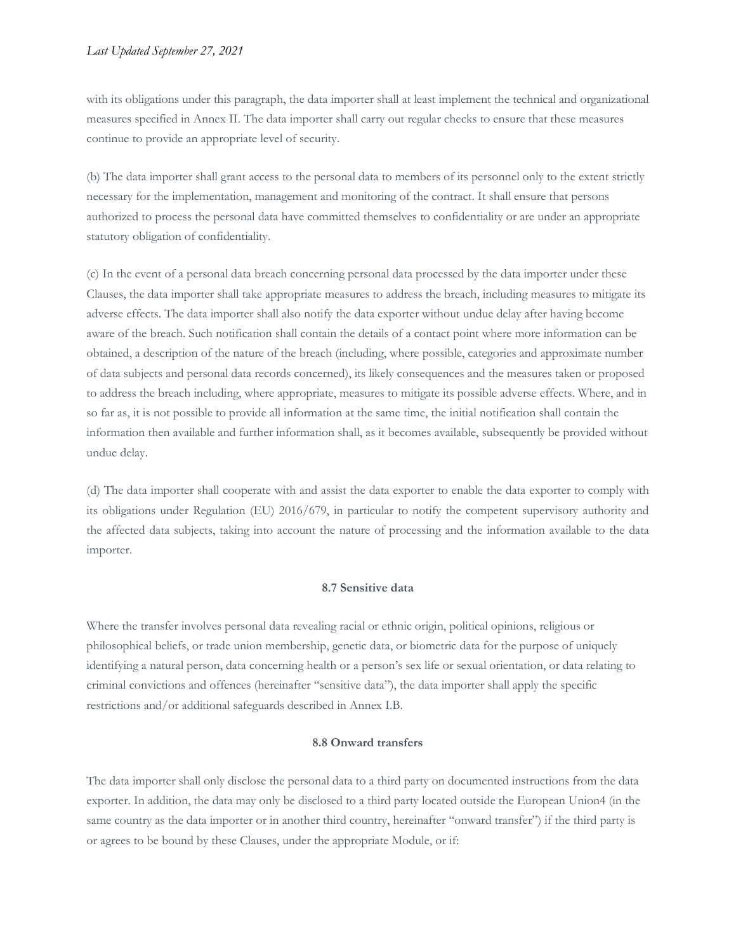with its obligations under this paragraph, the data importer shall at least implement the technical and organizational measures specified in Annex II. The data importer shall carry out regular checks to ensure that these measures continue to provide an appropriate level of security.

(b) The data importer shall grant access to the personal data to members of its personnel only to the extent strictly necessary for the implementation, management and monitoring of the contract. It shall ensure that persons authorized to process the personal data have committed themselves to confidentiality or are under an appropriate statutory obligation of confidentiality.

(c) In the event of a personal data breach concerning personal data processed by the data importer under these Clauses, the data importer shall take appropriate measures to address the breach, including measures to mitigate its adverse effects. The data importer shall also notify the data exporter without undue delay after having become aware of the breach. Such notification shall contain the details of a contact point where more information can be obtained, a description of the nature of the breach (including, where possible, categories and approximate number of data subjects and personal data records concerned), its likely consequences and the measures taken or proposed to address the breach including, where appropriate, measures to mitigate its possible adverse effects. Where, and in so far as, it is not possible to provide all information at the same time, the initial notification shall contain the information then available and further information shall, as it becomes available, subsequently be provided without undue delay.

(d) The data importer shall cooperate with and assist the data exporter to enable the data exporter to comply with its obligations under Regulation (EU) 2016/679, in particular to notify the competent supervisory authority and the affected data subjects, taking into account the nature of processing and the information available to the data importer.

# **8.7 Sensitive data**

Where the transfer involves personal data revealing racial or ethnic origin, political opinions, religious or philosophical beliefs, or trade union membership, genetic data, or biometric data for the purpose of uniquely identifying a natural person, data concerning health or a person's sex life or sexual orientation, or data relating to criminal convictions and offences (hereinafter "sensitive data"), the data importer shall apply the specific restrictions and/or additional safeguards described in Annex I.B.

### **8.8 Onward transfers**

The data importer shall only disclose the personal data to a third party on documented instructions from the data exporter. In addition, the data may only be disclosed to a third party located outside the European Union4 (in the same country as the data importer or in another third country, hereinafter "onward transfer") if the third party is or agrees to be bound by these Clauses, under the appropriate Module, or if: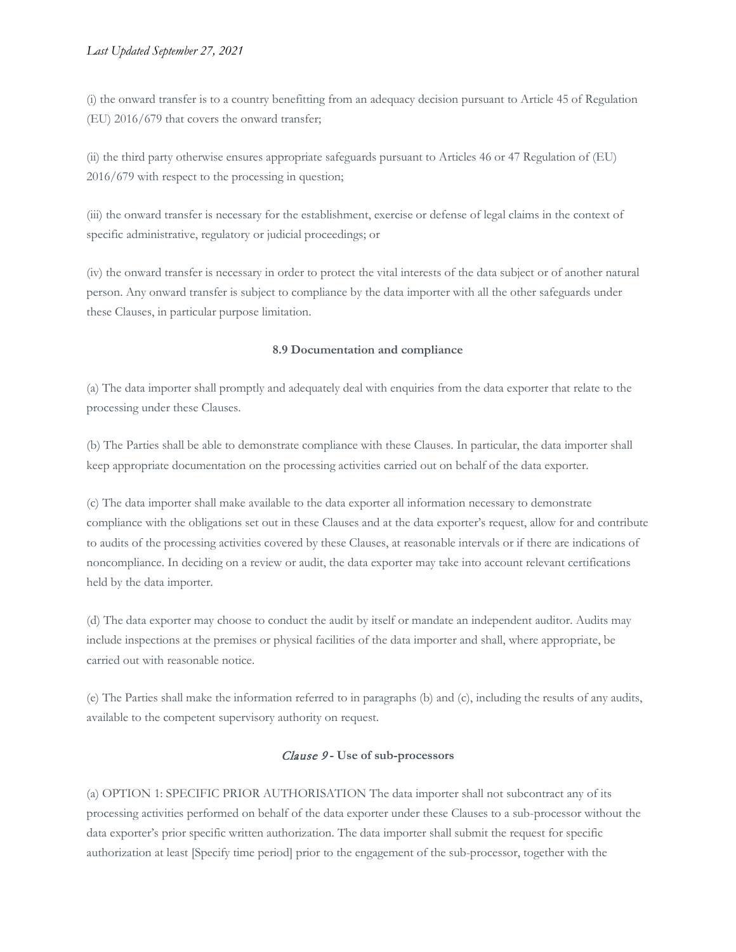(i) the onward transfer is to a country benefitting from an adequacy decision pursuant to Article 45 of Regulation (EU) 2016/679 that covers the onward transfer;

(ii) the third party otherwise ensures appropriate safeguards pursuant to Articles 46 or 47 Regulation of (EU) 2016/679 with respect to the processing in question;

(iii) the onward transfer is necessary for the establishment, exercise or defense of legal claims in the context of specific administrative, regulatory or judicial proceedings; or

(iv) the onward transfer is necessary in order to protect the vital interests of the data subject or of another natural person. Any onward transfer is subject to compliance by the data importer with all the other safeguards under these Clauses, in particular purpose limitation.

# **8.9 Documentation and compliance**

(a) The data importer shall promptly and adequately deal with enquiries from the data exporter that relate to the processing under these Clauses.

(b) The Parties shall be able to demonstrate compliance with these Clauses. In particular, the data importer shall keep appropriate documentation on the processing activities carried out on behalf of the data exporter.

(c) The data importer shall make available to the data exporter all information necessary to demonstrate compliance with the obligations set out in these Clauses and at the data exporter's request, allow for and contribute to audits of the processing activities covered by these Clauses, at reasonable intervals or if there are indications of noncompliance. In deciding on a review or audit, the data exporter may take into account relevant certifications held by the data importer.

(d) The data exporter may choose to conduct the audit by itself or mandate an independent auditor. Audits may include inspections at the premises or physical facilities of the data importer and shall, where appropriate, be carried out with reasonable notice.

(e) The Parties shall make the information referred to in paragraphs (b) and (c), including the results of any audits, available to the competent supervisory authority on request.

# Clause 9 **- Use of sub-processors**

(a) OPTION 1: SPECIFIC PRIOR AUTHORISATION The data importer shall not subcontract any of its processing activities performed on behalf of the data exporter under these Clauses to a sub-processor without the data exporter's prior specific written authorization. The data importer shall submit the request for specific authorization at least [Specify time period] prior to the engagement of the sub-processor, together with the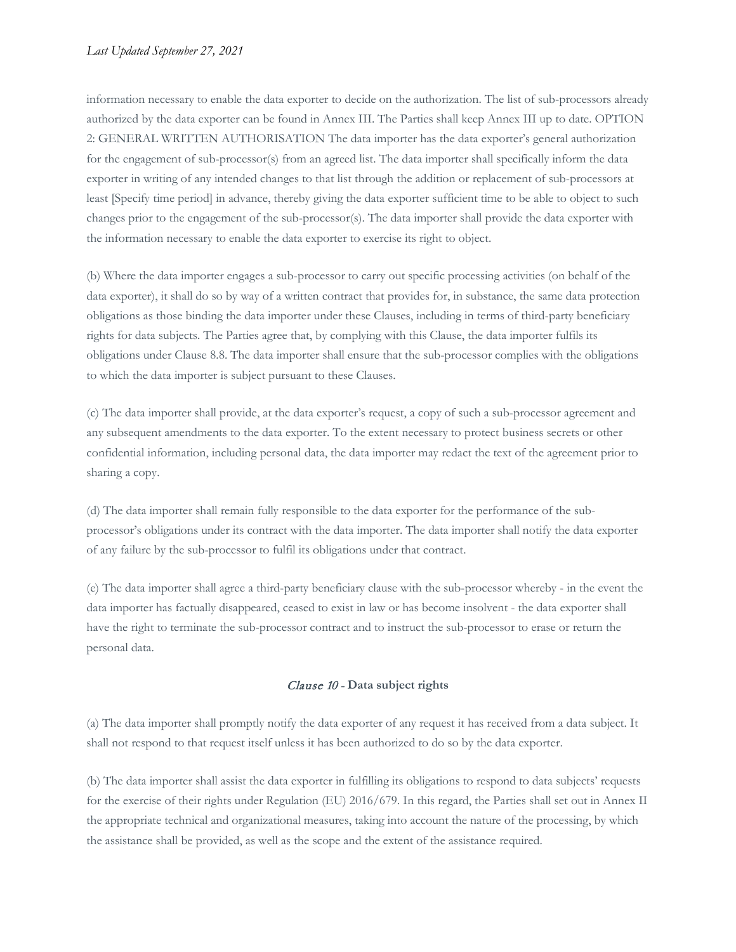information necessary to enable the data exporter to decide on the authorization. The list of sub-processors already authorized by the data exporter can be found in Annex III. The Parties shall keep Annex III up to date. OPTION 2: GENERAL WRITTEN AUTHORISATION The data importer has the data exporter's general authorization for the engagement of sub-processor(s) from an agreed list. The data importer shall specifically inform the data exporter in writing of any intended changes to that list through the addition or replacement of sub-processors at least [Specify time period] in advance, thereby giving the data exporter sufficient time to be able to object to such changes prior to the engagement of the sub-processor(s). The data importer shall provide the data exporter with the information necessary to enable the data exporter to exercise its right to object.

(b) Where the data importer engages a sub-processor to carry out specific processing activities (on behalf of the data exporter), it shall do so by way of a written contract that provides for, in substance, the same data protection obligations as those binding the data importer under these Clauses, including in terms of third-party beneficiary rights for data subjects. The Parties agree that, by complying with this Clause, the data importer fulfils its obligations under Clause 8.8. The data importer shall ensure that the sub-processor complies with the obligations to which the data importer is subject pursuant to these Clauses.

(c) The data importer shall provide, at the data exporter's request, a copy of such a sub-processor agreement and any subsequent amendments to the data exporter. To the extent necessary to protect business secrets or other confidential information, including personal data, the data importer may redact the text of the agreement prior to sharing a copy.

(d) The data importer shall remain fully responsible to the data exporter for the performance of the subprocessor's obligations under its contract with the data importer. The data importer shall notify the data exporter of any failure by the sub-processor to fulfil its obligations under that contract.

(e) The data importer shall agree a third-party beneficiary clause with the sub-processor whereby - in the event the data importer has factually disappeared, ceased to exist in law or has become insolvent - the data exporter shall have the right to terminate the sub-processor contract and to instruct the sub-processor to erase or return the personal data.

# Clause 10 - **Data subject rights**

(a) The data importer shall promptly notify the data exporter of any request it has received from a data subject. It shall not respond to that request itself unless it has been authorized to do so by the data exporter.

(b) The data importer shall assist the data exporter in fulfilling its obligations to respond to data subjects' requests for the exercise of their rights under Regulation (EU) 2016/679. In this regard, the Parties shall set out in Annex II the appropriate technical and organizational measures, taking into account the nature of the processing, by which the assistance shall be provided, as well as the scope and the extent of the assistance required.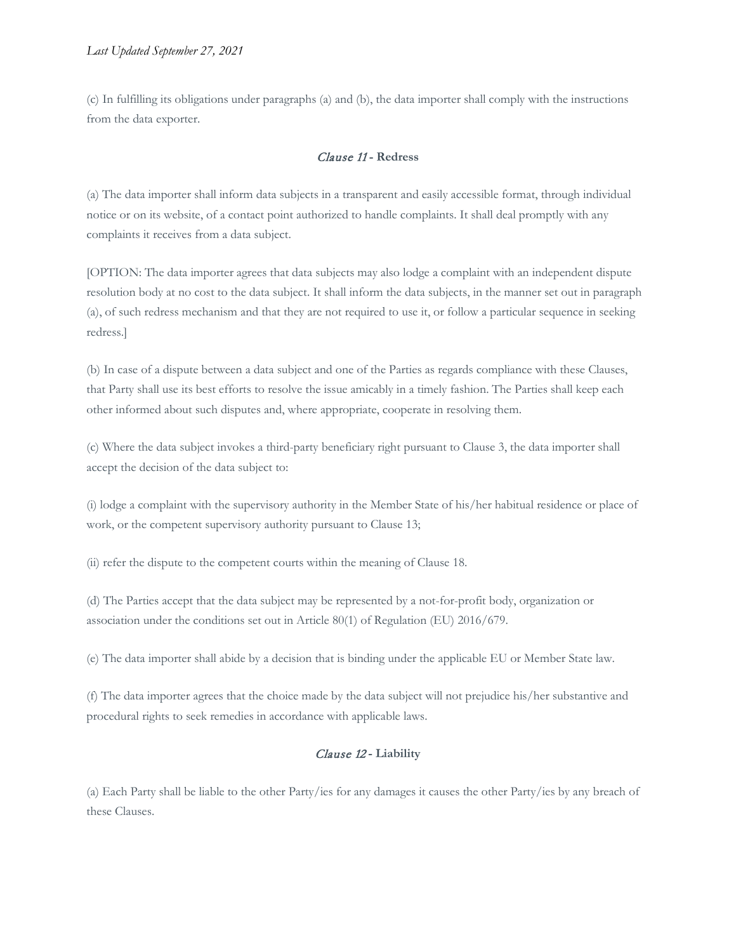(c) In fulfilling its obligations under paragraphs (a) and (b), the data importer shall comply with the instructions from the data exporter.

# Clause 11 **- Redress**

(a) The data importer shall inform data subjects in a transparent and easily accessible format, through individual notice or on its website, of a contact point authorized to handle complaints. It shall deal promptly with any complaints it receives from a data subject.

[OPTION: The data importer agrees that data subjects may also lodge a complaint with an independent dispute resolution body at no cost to the data subject. It shall inform the data subjects, in the manner set out in paragraph (a), of such redress mechanism and that they are not required to use it, or follow a particular sequence in seeking redress.]

(b) In case of a dispute between a data subject and one of the Parties as regards compliance with these Clauses, that Party shall use its best efforts to resolve the issue amicably in a timely fashion. The Parties shall keep each other informed about such disputes and, where appropriate, cooperate in resolving them.

(c) Where the data subject invokes a third-party beneficiary right pursuant to Clause 3, the data importer shall accept the decision of the data subject to:

(i) lodge a complaint with the supervisory authority in the Member State of his/her habitual residence or place of work, or the competent supervisory authority pursuant to Clause 13;

(ii) refer the dispute to the competent courts within the meaning of Clause 18.

(d) The Parties accept that the data subject may be represented by a not-for-profit body, organization or association under the conditions set out in Article 80(1) of Regulation (EU) 2016/679.

(e) The data importer shall abide by a decision that is binding under the applicable EU or Member State law.

(f) The data importer agrees that the choice made by the data subject will not prejudice his/her substantive and procedural rights to seek remedies in accordance with applicable laws.

# Clause 12 **- Liability**

(a) Each Party shall be liable to the other Party/ies for any damages it causes the other Party/ies by any breach of these Clauses.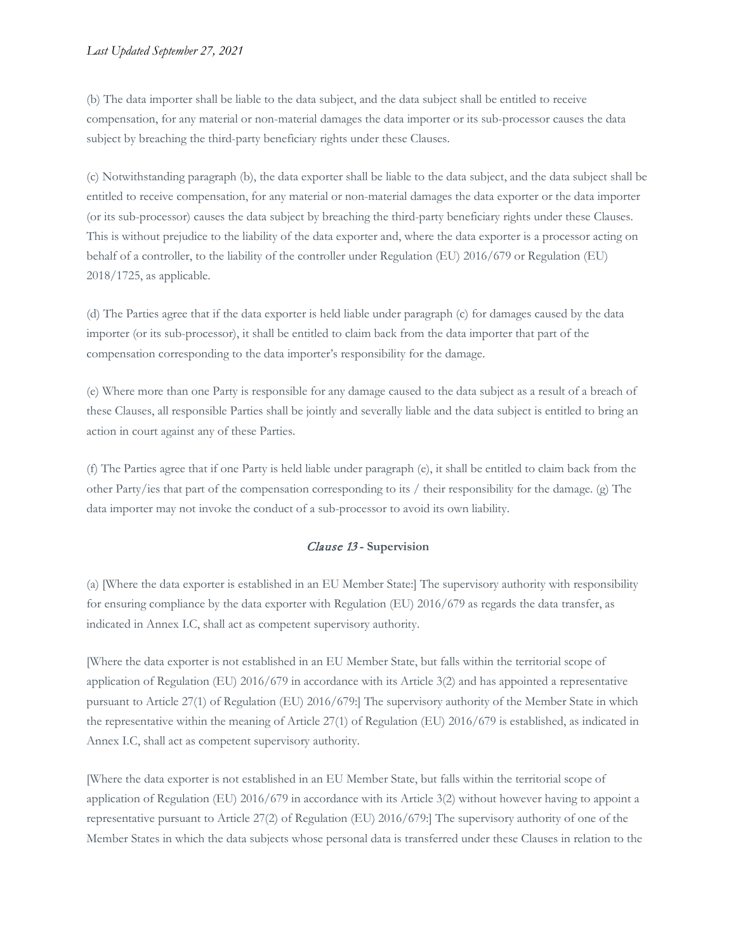(b) The data importer shall be liable to the data subject, and the data subject shall be entitled to receive compensation, for any material or non-material damages the data importer or its sub-processor causes the data subject by breaching the third-party beneficiary rights under these Clauses.

(c) Notwithstanding paragraph (b), the data exporter shall be liable to the data subject, and the data subject shall be entitled to receive compensation, for any material or non-material damages the data exporter or the data importer (or its sub-processor) causes the data subject by breaching the third-party beneficiary rights under these Clauses. This is without prejudice to the liability of the data exporter and, where the data exporter is a processor acting on behalf of a controller, to the liability of the controller under Regulation (EU) 2016/679 or Regulation (EU) 2018/1725, as applicable.

(d) The Parties agree that if the data exporter is held liable under paragraph (c) for damages caused by the data importer (or its sub-processor), it shall be entitled to claim back from the data importer that part of the compensation corresponding to the data importer's responsibility for the damage.

(e) Where more than one Party is responsible for any damage caused to the data subject as a result of a breach of these Clauses, all responsible Parties shall be jointly and severally liable and the data subject is entitled to bring an action in court against any of these Parties.

(f) The Parties agree that if one Party is held liable under paragraph (e), it shall be entitled to claim back from the other Party/ies that part of the compensation corresponding to its / their responsibility for the damage. (g) The data importer may not invoke the conduct of a sub-processor to avoid its own liability.

# Clause 13 **- Supervision**

(a) [Where the data exporter is established in an EU Member State:] The supervisory authority with responsibility for ensuring compliance by the data exporter with Regulation (EU) 2016/679 as regards the data transfer, as indicated in Annex I.C, shall act as competent supervisory authority.

[Where the data exporter is not established in an EU Member State, but falls within the territorial scope of application of Regulation (EU) 2016/679 in accordance with its Article 3(2) and has appointed a representative pursuant to Article 27(1) of Regulation (EU) 2016/679:] The supervisory authority of the Member State in which the representative within the meaning of Article 27(1) of Regulation (EU) 2016/679 is established, as indicated in Annex I.C, shall act as competent supervisory authority.

[Where the data exporter is not established in an EU Member State, but falls within the territorial scope of application of Regulation (EU) 2016/679 in accordance with its Article 3(2) without however having to appoint a representative pursuant to Article 27(2) of Regulation (EU) 2016/679:] The supervisory authority of one of the Member States in which the data subjects whose personal data is transferred under these Clauses in relation to the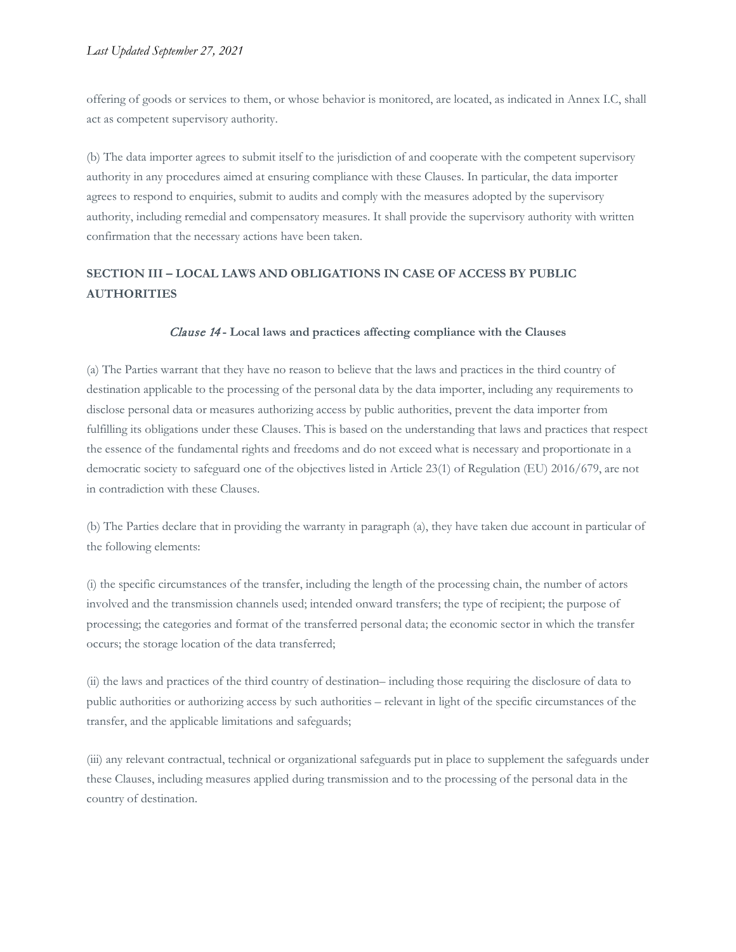offering of goods or services to them, or whose behavior is monitored, are located, as indicated in Annex I.C, shall act as competent supervisory authority.

(b) The data importer agrees to submit itself to the jurisdiction of and cooperate with the competent supervisory authority in any procedures aimed at ensuring compliance with these Clauses. In particular, the data importer agrees to respond to enquiries, submit to audits and comply with the measures adopted by the supervisory authority, including remedial and compensatory measures. It shall provide the supervisory authority with written confirmation that the necessary actions have been taken.

# **SECTION III – LOCAL LAWS AND OBLIGATIONS IN CASE OF ACCESS BY PUBLIC AUTHORITIES**

# Clause 14 **- Local laws and practices affecting compliance with the Clauses**

(a) The Parties warrant that they have no reason to believe that the laws and practices in the third country of destination applicable to the processing of the personal data by the data importer, including any requirements to disclose personal data or measures authorizing access by public authorities, prevent the data importer from fulfilling its obligations under these Clauses. This is based on the understanding that laws and practices that respect the essence of the fundamental rights and freedoms and do not exceed what is necessary and proportionate in a democratic society to safeguard one of the objectives listed in Article 23(1) of Regulation (EU) 2016/679, are not in contradiction with these Clauses.

(b) The Parties declare that in providing the warranty in paragraph (a), they have taken due account in particular of the following elements:

(i) the specific circumstances of the transfer, including the length of the processing chain, the number of actors involved and the transmission channels used; intended onward transfers; the type of recipient; the purpose of processing; the categories and format of the transferred personal data; the economic sector in which the transfer occurs; the storage location of the data transferred;

(ii) the laws and practices of the third country of destination– including those requiring the disclosure of data to public authorities or authorizing access by such authorities – relevant in light of the specific circumstances of the transfer, and the applicable limitations and safeguards;

(iii) any relevant contractual, technical or organizational safeguards put in place to supplement the safeguards under these Clauses, including measures applied during transmission and to the processing of the personal data in the country of destination.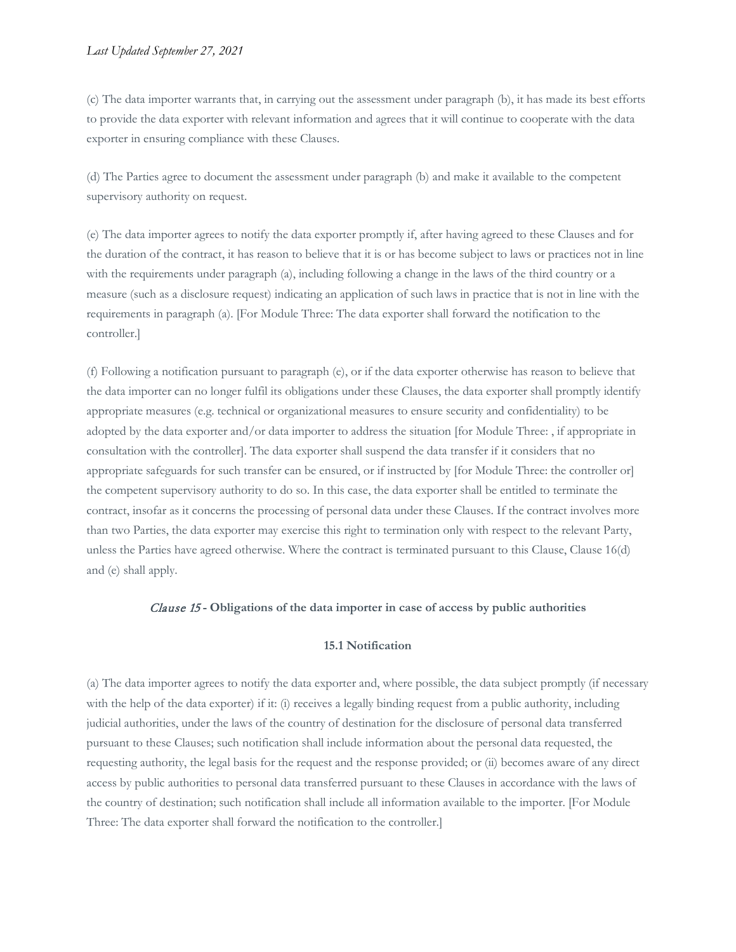(c) The data importer warrants that, in carrying out the assessment under paragraph (b), it has made its best efforts to provide the data exporter with relevant information and agrees that it will continue to cooperate with the data exporter in ensuring compliance with these Clauses.

(d) The Parties agree to document the assessment under paragraph (b) and make it available to the competent supervisory authority on request.

(e) The data importer agrees to notify the data exporter promptly if, after having agreed to these Clauses and for the duration of the contract, it has reason to believe that it is or has become subject to laws or practices not in line with the requirements under paragraph (a), including following a change in the laws of the third country or a measure (such as a disclosure request) indicating an application of such laws in practice that is not in line with the requirements in paragraph (a). [For Module Three: The data exporter shall forward the notification to the controller.]

(f) Following a notification pursuant to paragraph (e), or if the data exporter otherwise has reason to believe that the data importer can no longer fulfil its obligations under these Clauses, the data exporter shall promptly identify appropriate measures (e.g. technical or organizational measures to ensure security and confidentiality) to be adopted by the data exporter and/or data importer to address the situation [for Module Three: , if appropriate in consultation with the controller]. The data exporter shall suspend the data transfer if it considers that no appropriate safeguards for such transfer can be ensured, or if instructed by [for Module Three: the controller or] the competent supervisory authority to do so. In this case, the data exporter shall be entitled to terminate the contract, insofar as it concerns the processing of personal data under these Clauses. If the contract involves more than two Parties, the data exporter may exercise this right to termination only with respect to the relevant Party, unless the Parties have agreed otherwise. Where the contract is terminated pursuant to this Clause, Clause 16(d) and (e) shall apply.

#### Clause 15 **- Obligations of the data importer in case of access by public authorities**

#### **15.1 Notification**

(a) The data importer agrees to notify the data exporter and, where possible, the data subject promptly (if necessary with the help of the data exporter) if it: (i) receives a legally binding request from a public authority, including judicial authorities, under the laws of the country of destination for the disclosure of personal data transferred pursuant to these Clauses; such notification shall include information about the personal data requested, the requesting authority, the legal basis for the request and the response provided; or (ii) becomes aware of any direct access by public authorities to personal data transferred pursuant to these Clauses in accordance with the laws of the country of destination; such notification shall include all information available to the importer. [For Module Three: The data exporter shall forward the notification to the controller.]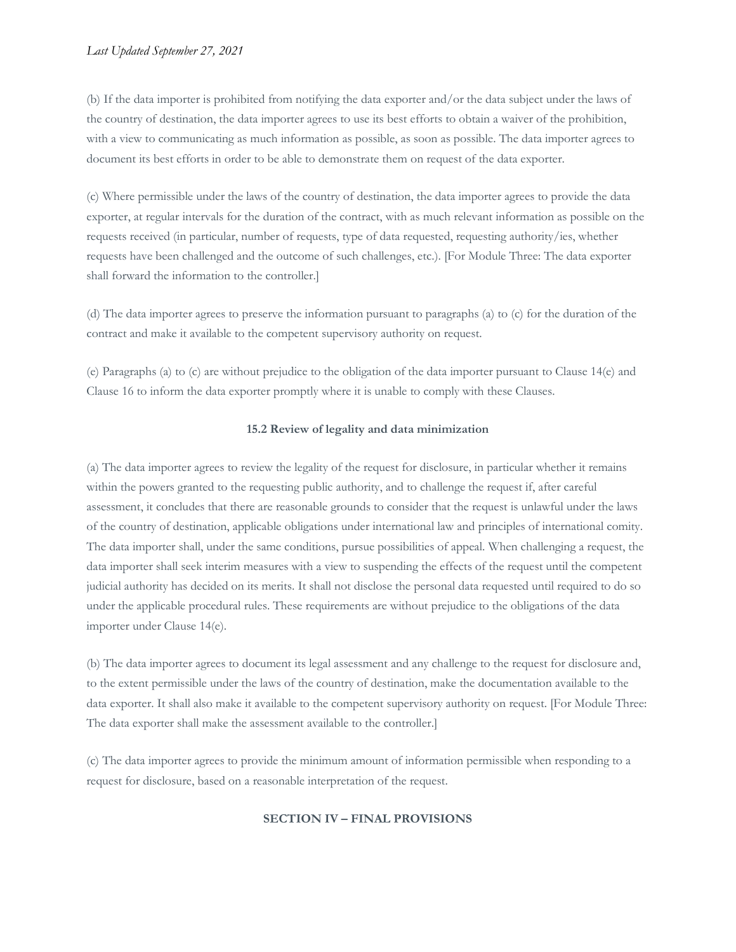(b) If the data importer is prohibited from notifying the data exporter and/or the data subject under the laws of the country of destination, the data importer agrees to use its best efforts to obtain a waiver of the prohibition, with a view to communicating as much information as possible, as soon as possible. The data importer agrees to document its best efforts in order to be able to demonstrate them on request of the data exporter.

(c) Where permissible under the laws of the country of destination, the data importer agrees to provide the data exporter, at regular intervals for the duration of the contract, with as much relevant information as possible on the requests received (in particular, number of requests, type of data requested, requesting authority/ies, whether requests have been challenged and the outcome of such challenges, etc.). [For Module Three: The data exporter shall forward the information to the controller.]

(d) The data importer agrees to preserve the information pursuant to paragraphs (a) to (c) for the duration of the contract and make it available to the competent supervisory authority on request.

(e) Paragraphs (a) to (c) are without prejudice to the obligation of the data importer pursuant to Clause 14(e) and Clause 16 to inform the data exporter promptly where it is unable to comply with these Clauses.

#### **15.2 Review of legality and data minimization**

(a) The data importer agrees to review the legality of the request for disclosure, in particular whether it remains within the powers granted to the requesting public authority, and to challenge the request if, after careful assessment, it concludes that there are reasonable grounds to consider that the request is unlawful under the laws of the country of destination, applicable obligations under international law and principles of international comity. The data importer shall, under the same conditions, pursue possibilities of appeal. When challenging a request, the data importer shall seek interim measures with a view to suspending the effects of the request until the competent judicial authority has decided on its merits. It shall not disclose the personal data requested until required to do so under the applicable procedural rules. These requirements are without prejudice to the obligations of the data importer under Clause 14(e).

(b) The data importer agrees to document its legal assessment and any challenge to the request for disclosure and, to the extent permissible under the laws of the country of destination, make the documentation available to the data exporter. It shall also make it available to the competent supervisory authority on request. [For Module Three: The data exporter shall make the assessment available to the controller.]

(c) The data importer agrees to provide the minimum amount of information permissible when responding to a request for disclosure, based on a reasonable interpretation of the request.

#### **SECTION IV – FINAL PROVISIONS**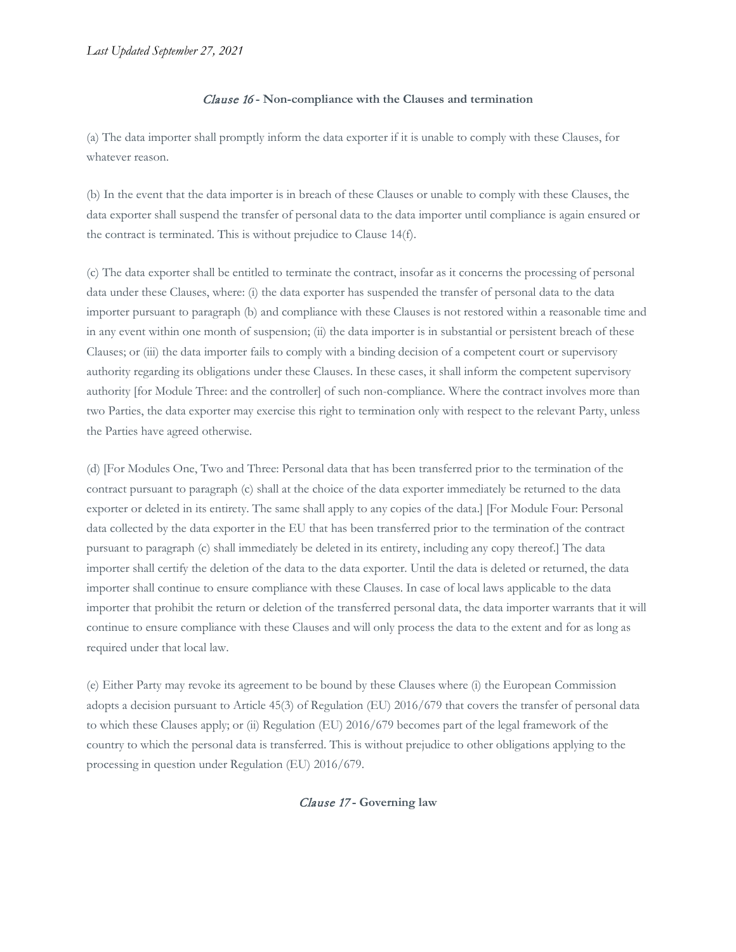# Clause 16 **- Non-compliance with the Clauses and termination**

(a) The data importer shall promptly inform the data exporter if it is unable to comply with these Clauses, for whatever reason.

(b) In the event that the data importer is in breach of these Clauses or unable to comply with these Clauses, the data exporter shall suspend the transfer of personal data to the data importer until compliance is again ensured or the contract is terminated. This is without prejudice to Clause 14(f).

(c) The data exporter shall be entitled to terminate the contract, insofar as it concerns the processing of personal data under these Clauses, where: (i) the data exporter has suspended the transfer of personal data to the data importer pursuant to paragraph (b) and compliance with these Clauses is not restored within a reasonable time and in any event within one month of suspension; (ii) the data importer is in substantial or persistent breach of these Clauses; or (iii) the data importer fails to comply with a binding decision of a competent court or supervisory authority regarding its obligations under these Clauses. In these cases, it shall inform the competent supervisory authority [for Module Three: and the controller] of such non-compliance. Where the contract involves more than two Parties, the data exporter may exercise this right to termination only with respect to the relevant Party, unless the Parties have agreed otherwise.

(d) [For Modules One, Two and Three: Personal data that has been transferred prior to the termination of the contract pursuant to paragraph (c) shall at the choice of the data exporter immediately be returned to the data exporter or deleted in its entirety. The same shall apply to any copies of the data.] [For Module Four: Personal data collected by the data exporter in the EU that has been transferred prior to the termination of the contract pursuant to paragraph (c) shall immediately be deleted in its entirety, including any copy thereof.] The data importer shall certify the deletion of the data to the data exporter. Until the data is deleted or returned, the data importer shall continue to ensure compliance with these Clauses. In case of local laws applicable to the data importer that prohibit the return or deletion of the transferred personal data, the data importer warrants that it will continue to ensure compliance with these Clauses and will only process the data to the extent and for as long as required under that local law.

(e) Either Party may revoke its agreement to be bound by these Clauses where (i) the European Commission adopts a decision pursuant to Article 45(3) of Regulation (EU) 2016/679 that covers the transfer of personal data to which these Clauses apply; or (ii) Regulation (EU) 2016/679 becomes part of the legal framework of the country to which the personal data is transferred. This is without prejudice to other obligations applying to the processing in question under Regulation (EU) 2016/679.

# Clause 17 **- Governing law**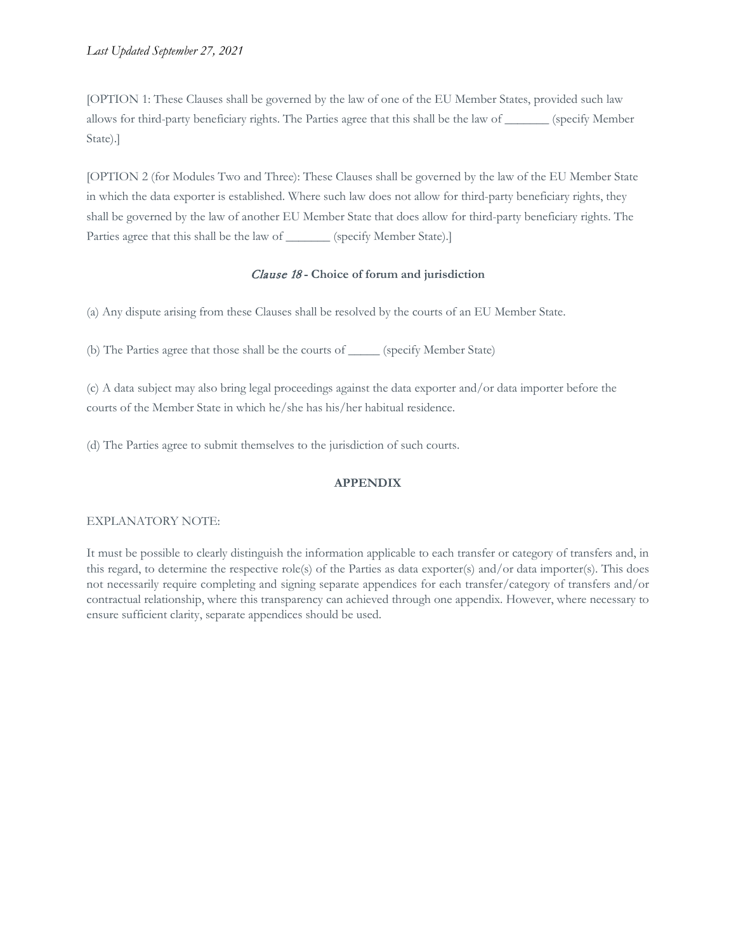[OPTION 1: These Clauses shall be governed by the law of one of the EU Member States, provided such law allows for third-party beneficiary rights. The Parties agree that this shall be the law of \_\_\_\_\_\_\_ (specify Member State).]

[OPTION 2 (for Modules Two and Three): These Clauses shall be governed by the law of the EU Member State in which the data exporter is established. Where such law does not allow for third-party beneficiary rights, they shall be governed by the law of another EU Member State that does allow for third-party beneficiary rights. The Parties agree that this shall be the law of \_\_\_\_\_\_\_\_ (specify Member State).]

# Clause 18 **- Choice of forum and jurisdiction**

(a) Any dispute arising from these Clauses shall be resolved by the courts of an EU Member State.

(b) The Parties agree that those shall be the courts of \_\_\_\_\_ (specify Member State)

(c) A data subject may also bring legal proceedings against the data exporter and/or data importer before the courts of the Member State in which he/she has his/her habitual residence.

(d) The Parties agree to submit themselves to the jurisdiction of such courts.

# <span id="page-15-0"></span>**APPENDIX**

# EXPLANATORY NOTE:

It must be possible to clearly distinguish the information applicable to each transfer or category of transfers and, in this regard, to determine the respective role(s) of the Parties as data exporter(s) and/or data importer(s). This does not necessarily require completing and signing separate appendices for each transfer/category of transfers and/or contractual relationship, where this transparency can achieved through one appendix. However, where necessary to ensure sufficient clarity, separate appendices should be used.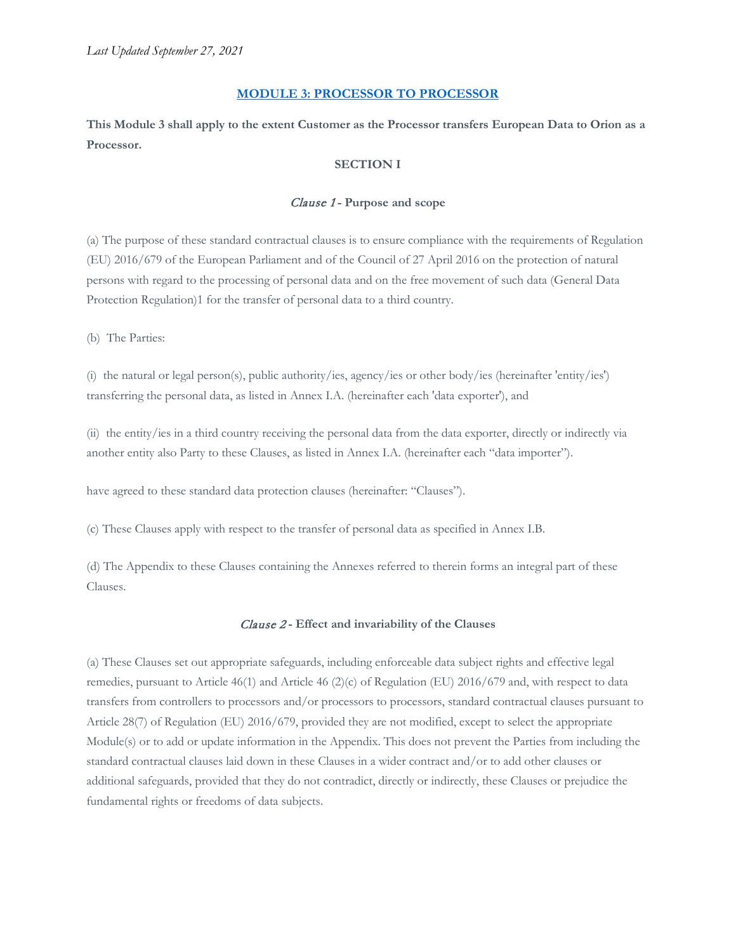# **[MODULE 3: PROCESSOR TO PROCESSOR](#page-0-1)**

**This Module 3 shall apply to the extent Customer as the Processor transfers European Data to Orion as a Processor.** 

#### **SECTION I**

#### Clause 1 **- Purpose and scope**

(a) The purpose of these standard contractual clauses is to ensure compliance with the requirements of Regulation (EU) 2016/679 of the European Parliament and of the Council of 27 April 2016 on the protection of natural persons with regard to the processing of personal data and on the free movement of such data (General Data Protection Regulation)1 for the transfer of personal data to a third country.

(b) The Parties:

(i) the natural or legal person(s), public authority/ies, agency/ies or other body/ies (hereinafter 'entity/ies') transferring the personal data, as listed in Annex I.A. (hereinafter each 'data exporter'), and

(ii) the entity/ies in a third country receiving the personal data from the data exporter, directly or indirectly via another entity also Party to these Clauses, as listed in Annex I.A. (hereinafter each "data importer").

have agreed to these standard data protection clauses (hereinafter: "Clauses").

(c) These Clauses apply with respect to the transfer of personal data as specified in Annex I.B.

(d) The Appendix to these Clauses containing the Annexes referred to therein forms an integral part of these Clauses.

# Clause 2 **- Effect and invariability of the Clauses**

(a) These Clauses set out appropriate safeguards, including enforceable data subject rights and effective legal remedies, pursuant to Article 46(1) and Article 46 (2)(c) of Regulation (EU) 2016/679 and, with respect to data transfers from controllers to processors and/or processors to processors, standard contractual clauses pursuant to Article 28(7) of Regulation (EU) 2016/679, provided they are not modified, except to select the appropriate Module(s) or to add or update information in the Appendix. This does not prevent the Parties from including the standard contractual clauses laid down in these Clauses in a wider contract and/or to add other clauses or additional safeguards, provided that they do not contradict, directly or indirectly, these Clauses or prejudice the fundamental rights or freedoms of data subjects.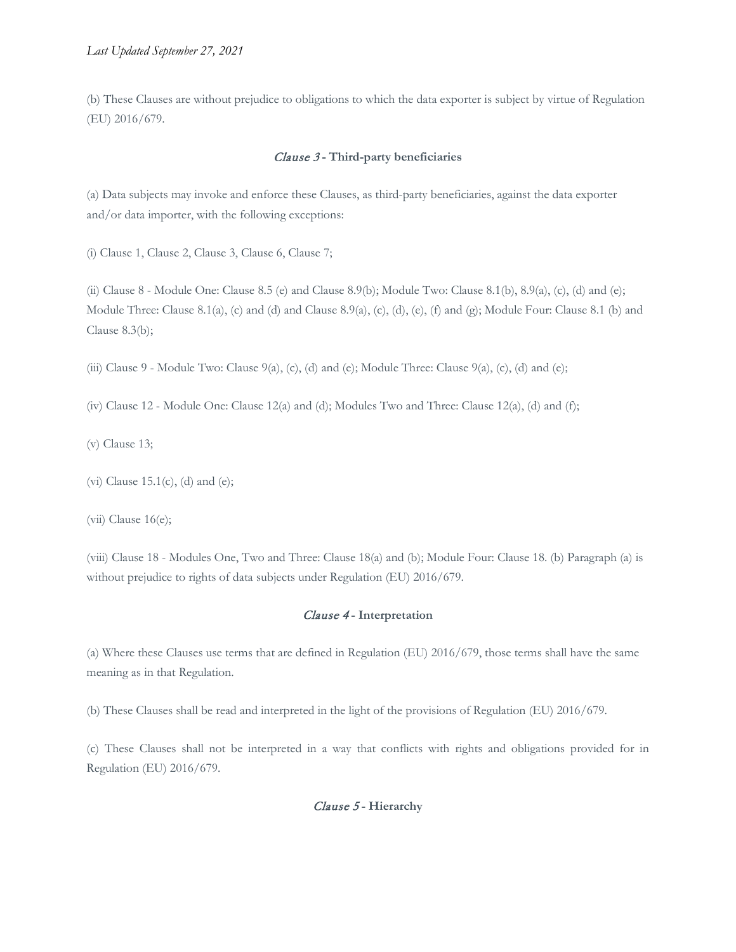(b) These Clauses are without prejudice to obligations to which the data exporter is subject by virtue of Regulation (EU) 2016/679.

# Clause 3 **- Third-party beneficiaries**

(a) Data subjects may invoke and enforce these Clauses, as third-party beneficiaries, against the data exporter and/or data importer, with the following exceptions:

(i) Clause 1, Clause 2, Clause 3, Clause 6, Clause 7;

(ii) Clause 8 - Module One: Clause 8.5 (e) and Clause 8.9(b); Module Two: Clause 8.1(b), 8.9(a), (c), (d) and (e); Module Three: Clause 8.1(a), (c) and (d) and Clause 8.9(a), (c), (d), (e), (f) and (g); Module Four: Clause 8.1 (b) and Clause 8.3(b);

(iii) Clause 9 - Module Two: Clause 9(a), (c), (d) and (e); Module Three: Clause 9(a), (c), (d) and (e);

(iv) Clause  $12$  - Module One: Clause  $12(a)$  and (d); Modules Two and Three: Clause  $12(a)$ , (d) and (f);

(v) Clause 13;

(vi) Clause  $15.1(c)$ , (d) and (e);

 $(vii)$  Clause 16(e);

(viii) Clause 18 - Modules One, Two and Three: Clause 18(a) and (b); Module Four: Clause 18. (b) Paragraph (a) is without prejudice to rights of data subjects under Regulation (EU) 2016/679.

# Clause 4 **- Interpretation**

(a) Where these Clauses use terms that are defined in Regulation (EU) 2016/679, those terms shall have the same meaning as in that Regulation.

(b) These Clauses shall be read and interpreted in the light of the provisions of Regulation (EU) 2016/679.

(c) These Clauses shall not be interpreted in a way that conflicts with rights and obligations provided for in Regulation (EU) 2016/679.

# Clause 5 **- Hierarchy**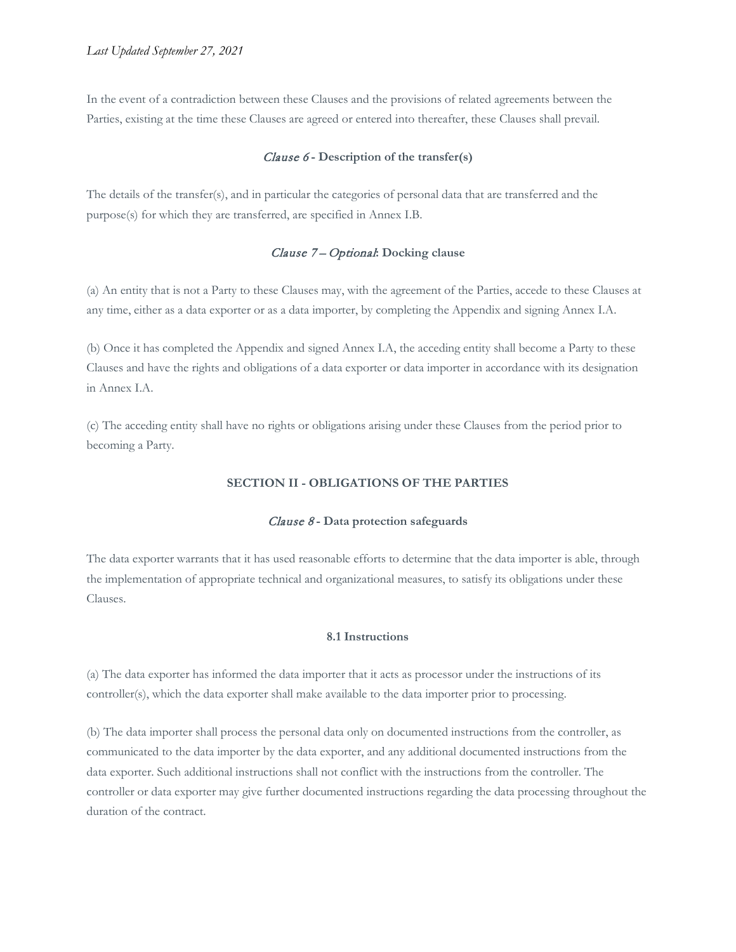In the event of a contradiction between these Clauses and the provisions of related agreements between the Parties, existing at the time these Clauses are agreed or entered into thereafter, these Clauses shall prevail.

### Clause 6 **- Description of the transfer(s)**

The details of the transfer(s), and in particular the categories of personal data that are transferred and the purpose(s) for which they are transferred, are specified in Annex I.B.

# Clause 7 – Optional**: Docking clause**

(a) An entity that is not a Party to these Clauses may, with the agreement of the Parties, accede to these Clauses at any time, either as a data exporter or as a data importer, by completing the Appendix and signing Annex I.A.

(b) Once it has completed the Appendix and signed Annex I.A, the acceding entity shall become a Party to these Clauses and have the rights and obligations of a data exporter or data importer in accordance with its designation in Annex I.A.

(c) The acceding entity shall have no rights or obligations arising under these Clauses from the period prior to becoming a Party.

# **SECTION II - OBLIGATIONS OF THE PARTIES**

#### Clause 8 **- Data protection safeguards**

The data exporter warrants that it has used reasonable efforts to determine that the data importer is able, through the implementation of appropriate technical and organizational measures, to satisfy its obligations under these Clauses.

# **8.1 Instructions**

(a) The data exporter has informed the data importer that it acts as processor under the instructions of its controller(s), which the data exporter shall make available to the data importer prior to processing.

(b) The data importer shall process the personal data only on documented instructions from the controller, as communicated to the data importer by the data exporter, and any additional documented instructions from the data exporter. Such additional instructions shall not conflict with the instructions from the controller. The controller or data exporter may give further documented instructions regarding the data processing throughout the duration of the contract.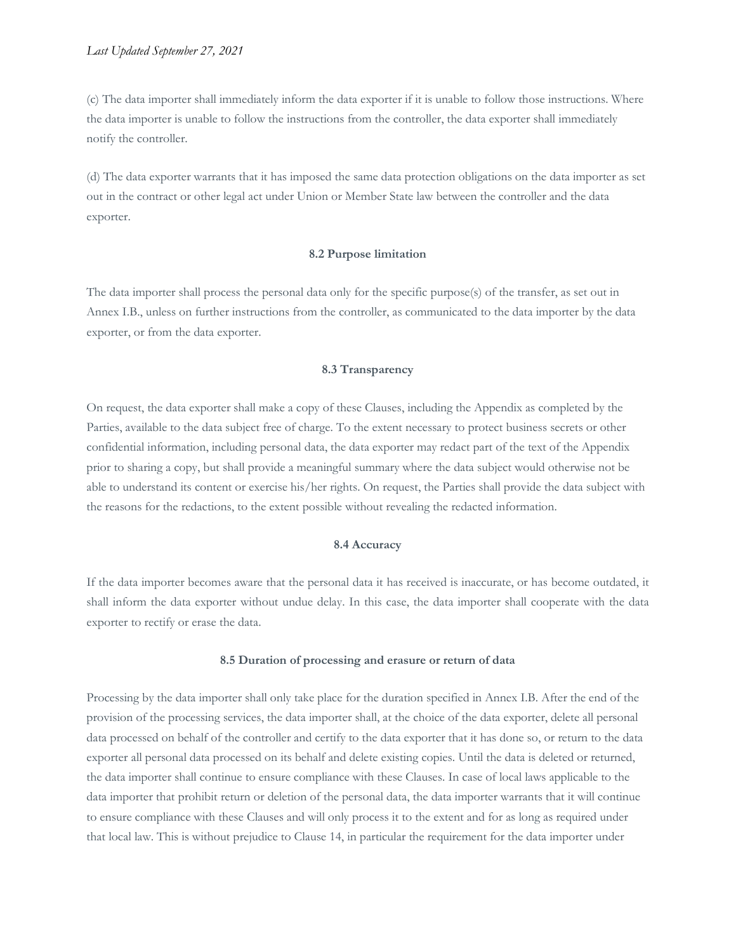(c) The data importer shall immediately inform the data exporter if it is unable to follow those instructions. Where the data importer is unable to follow the instructions from the controller, the data exporter shall immediately notify the controller.

(d) The data exporter warrants that it has imposed the same data protection obligations on the data importer as set out in the contract or other legal act under Union or Member State law between the controller and the data exporter.

#### **8.2 Purpose limitation**

The data importer shall process the personal data only for the specific purpose(s) of the transfer, as set out in Annex I.B., unless on further instructions from the controller, as communicated to the data importer by the data exporter, or from the data exporter.

### **8.3 Transparency**

On request, the data exporter shall make a copy of these Clauses, including the Appendix as completed by the Parties, available to the data subject free of charge. To the extent necessary to protect business secrets or other confidential information, including personal data, the data exporter may redact part of the text of the Appendix prior to sharing a copy, but shall provide a meaningful summary where the data subject would otherwise not be able to understand its content or exercise his/her rights. On request, the Parties shall provide the data subject with the reasons for the redactions, to the extent possible without revealing the redacted information.

#### **8.4 Accuracy**

If the data importer becomes aware that the personal data it has received is inaccurate, or has become outdated, it shall inform the data exporter without undue delay. In this case, the data importer shall cooperate with the data exporter to rectify or erase the data.

#### **8.5 Duration of processing and erasure or return of data**

Processing by the data importer shall only take place for the duration specified in Annex I.B. After the end of the provision of the processing services, the data importer shall, at the choice of the data exporter, delete all personal data processed on behalf of the controller and certify to the data exporter that it has done so, or return to the data exporter all personal data processed on its behalf and delete existing copies. Until the data is deleted or returned, the data importer shall continue to ensure compliance with these Clauses. In case of local laws applicable to the data importer that prohibit return or deletion of the personal data, the data importer warrants that it will continue to ensure compliance with these Clauses and will only process it to the extent and for as long as required under that local law. This is without prejudice to Clause 14, in particular the requirement for the data importer under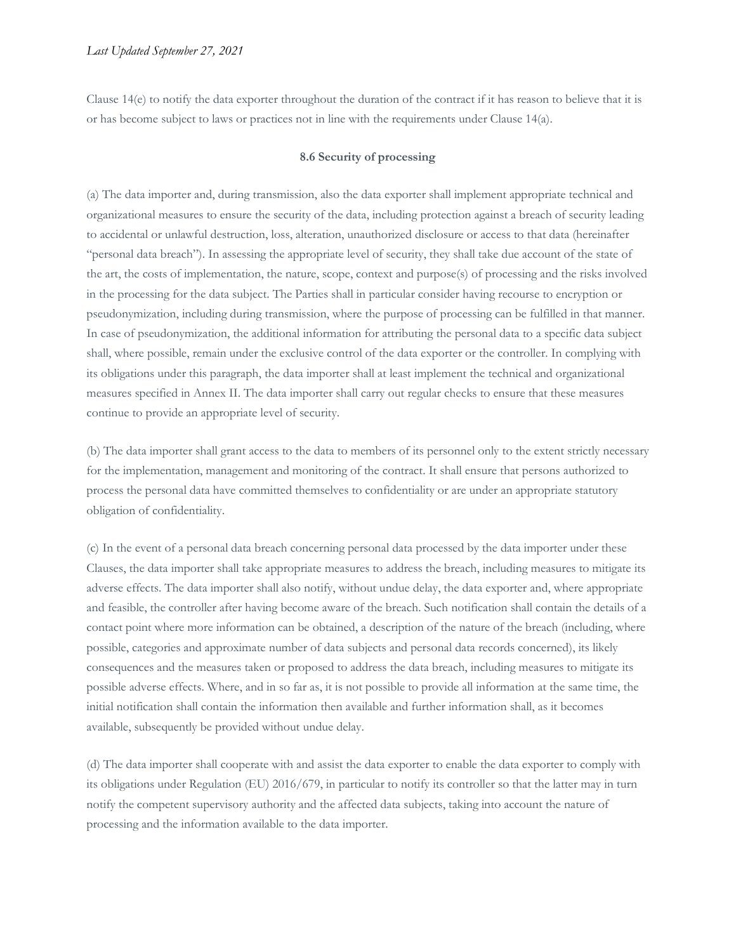Clause 14(e) to notify the data exporter throughout the duration of the contract if it has reason to believe that it is or has become subject to laws or practices not in line with the requirements under Clause 14(a).

#### **8.6 Security of processing**

(a) The data importer and, during transmission, also the data exporter shall implement appropriate technical and organizational measures to ensure the security of the data, including protection against a breach of security leading to accidental or unlawful destruction, loss, alteration, unauthorized disclosure or access to that data (hereinafter "personal data breach"). In assessing the appropriate level of security, they shall take due account of the state of the art, the costs of implementation, the nature, scope, context and purpose(s) of processing and the risks involved in the processing for the data subject. The Parties shall in particular consider having recourse to encryption or pseudonymization, including during transmission, where the purpose of processing can be fulfilled in that manner. In case of pseudonymization, the additional information for attributing the personal data to a specific data subject shall, where possible, remain under the exclusive control of the data exporter or the controller. In complying with its obligations under this paragraph, the data importer shall at least implement the technical and organizational measures specified in Annex II. The data importer shall carry out regular checks to ensure that these measures continue to provide an appropriate level of security.

(b) The data importer shall grant access to the data to members of its personnel only to the extent strictly necessary for the implementation, management and monitoring of the contract. It shall ensure that persons authorized to process the personal data have committed themselves to confidentiality or are under an appropriate statutory obligation of confidentiality.

(c) In the event of a personal data breach concerning personal data processed by the data importer under these Clauses, the data importer shall take appropriate measures to address the breach, including measures to mitigate its adverse effects. The data importer shall also notify, without undue delay, the data exporter and, where appropriate and feasible, the controller after having become aware of the breach. Such notification shall contain the details of a contact point where more information can be obtained, a description of the nature of the breach (including, where possible, categories and approximate number of data subjects and personal data records concerned), its likely consequences and the measures taken or proposed to address the data breach, including measures to mitigate its possible adverse effects. Where, and in so far as, it is not possible to provide all information at the same time, the initial notification shall contain the information then available and further information shall, as it becomes available, subsequently be provided without undue delay.

(d) The data importer shall cooperate with and assist the data exporter to enable the data exporter to comply with its obligations under Regulation (EU) 2016/679, in particular to notify its controller so that the latter may in turn notify the competent supervisory authority and the affected data subjects, taking into account the nature of processing and the information available to the data importer.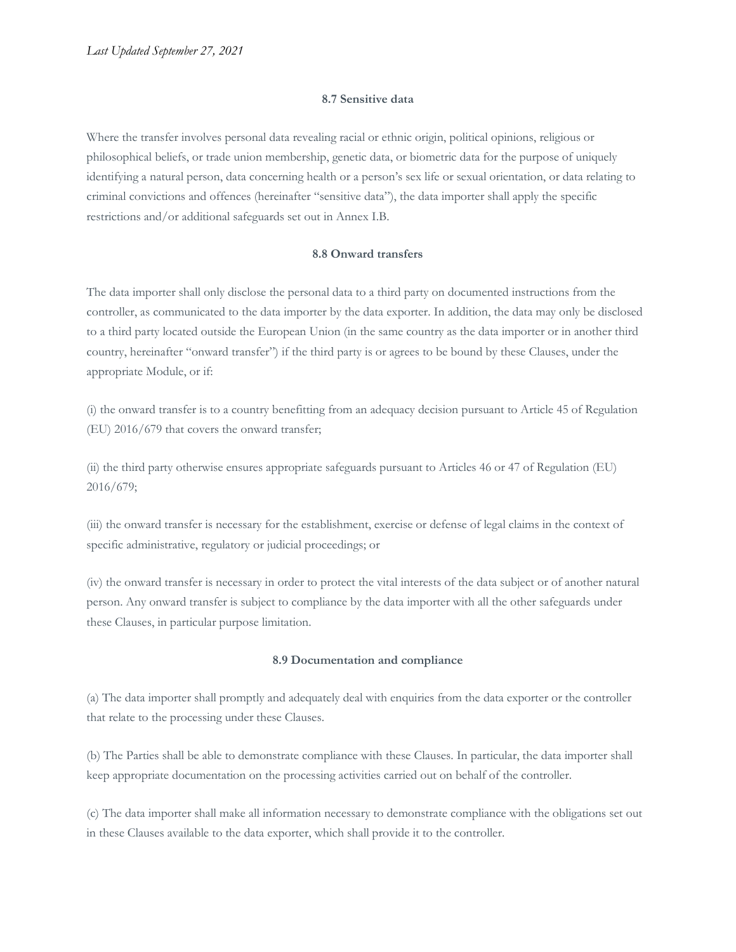# **8.7 Sensitive data**

Where the transfer involves personal data revealing racial or ethnic origin, political opinions, religious or philosophical beliefs, or trade union membership, genetic data, or biometric data for the purpose of uniquely identifying a natural person, data concerning health or a person's sex life or sexual orientation, or data relating to criminal convictions and offences (hereinafter "sensitive data"), the data importer shall apply the specific restrictions and/or additional safeguards set out in Annex I.B.

### **8.8 Onward transfers**

The data importer shall only disclose the personal data to a third party on documented instructions from the controller, as communicated to the data importer by the data exporter. In addition, the data may only be disclosed to a third party located outside the European Union (in the same country as the data importer or in another third country, hereinafter "onward transfer") if the third party is or agrees to be bound by these Clauses, under the appropriate Module, or if:

(i) the onward transfer is to a country benefitting from an adequacy decision pursuant to Article 45 of Regulation (EU) 2016/679 that covers the onward transfer;

(ii) the third party otherwise ensures appropriate safeguards pursuant to Articles 46 or 47 of Regulation (EU) 2016/679;

(iii) the onward transfer is necessary for the establishment, exercise or defense of legal claims in the context of specific administrative, regulatory or judicial proceedings; or

(iv) the onward transfer is necessary in order to protect the vital interests of the data subject or of another natural person. Any onward transfer is subject to compliance by the data importer with all the other safeguards under these Clauses, in particular purpose limitation.

#### **8.9 Documentation and compliance**

(a) The data importer shall promptly and adequately deal with enquiries from the data exporter or the controller that relate to the processing under these Clauses.

(b) The Parties shall be able to demonstrate compliance with these Clauses. In particular, the data importer shall keep appropriate documentation on the processing activities carried out on behalf of the controller.

(c) The data importer shall make all information necessary to demonstrate compliance with the obligations set out in these Clauses available to the data exporter, which shall provide it to the controller.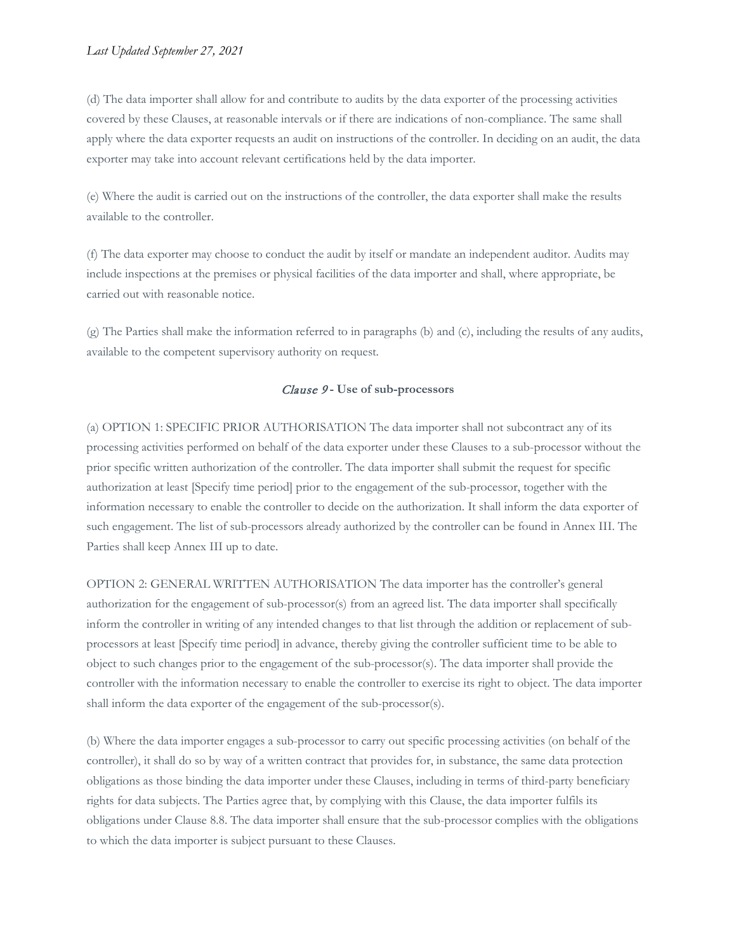(d) The data importer shall allow for and contribute to audits by the data exporter of the processing activities covered by these Clauses, at reasonable intervals or if there are indications of non-compliance. The same shall apply where the data exporter requests an audit on instructions of the controller. In deciding on an audit, the data exporter may take into account relevant certifications held by the data importer.

(e) Where the audit is carried out on the instructions of the controller, the data exporter shall make the results available to the controller.

(f) The data exporter may choose to conduct the audit by itself or mandate an independent auditor. Audits may include inspections at the premises or physical facilities of the data importer and shall, where appropriate, be carried out with reasonable notice.

(g) The Parties shall make the information referred to in paragraphs (b) and (c), including the results of any audits, available to the competent supervisory authority on request.

# Clause 9 **- Use of sub-processors**

(a) OPTION 1: SPECIFIC PRIOR AUTHORISATION The data importer shall not subcontract any of its processing activities performed on behalf of the data exporter under these Clauses to a sub-processor without the prior specific written authorization of the controller. The data importer shall submit the request for specific authorization at least [Specify time period] prior to the engagement of the sub-processor, together with the information necessary to enable the controller to decide on the authorization. It shall inform the data exporter of such engagement. The list of sub-processors already authorized by the controller can be found in Annex III. The Parties shall keep Annex III up to date.

OPTION 2: GENERAL WRITTEN AUTHORISATION The data importer has the controller's general authorization for the engagement of sub-processor(s) from an agreed list. The data importer shall specifically inform the controller in writing of any intended changes to that list through the addition or replacement of subprocessors at least [Specify time period] in advance, thereby giving the controller sufficient time to be able to object to such changes prior to the engagement of the sub-processor(s). The data importer shall provide the controller with the information necessary to enable the controller to exercise its right to object. The data importer shall inform the data exporter of the engagement of the sub-processor(s).

(b) Where the data importer engages a sub-processor to carry out specific processing activities (on behalf of the controller), it shall do so by way of a written contract that provides for, in substance, the same data protection obligations as those binding the data importer under these Clauses, including in terms of third-party beneficiary rights for data subjects. The Parties agree that, by complying with this Clause, the data importer fulfils its obligations under Clause 8.8. The data importer shall ensure that the sub-processor complies with the obligations to which the data importer is subject pursuant to these Clauses.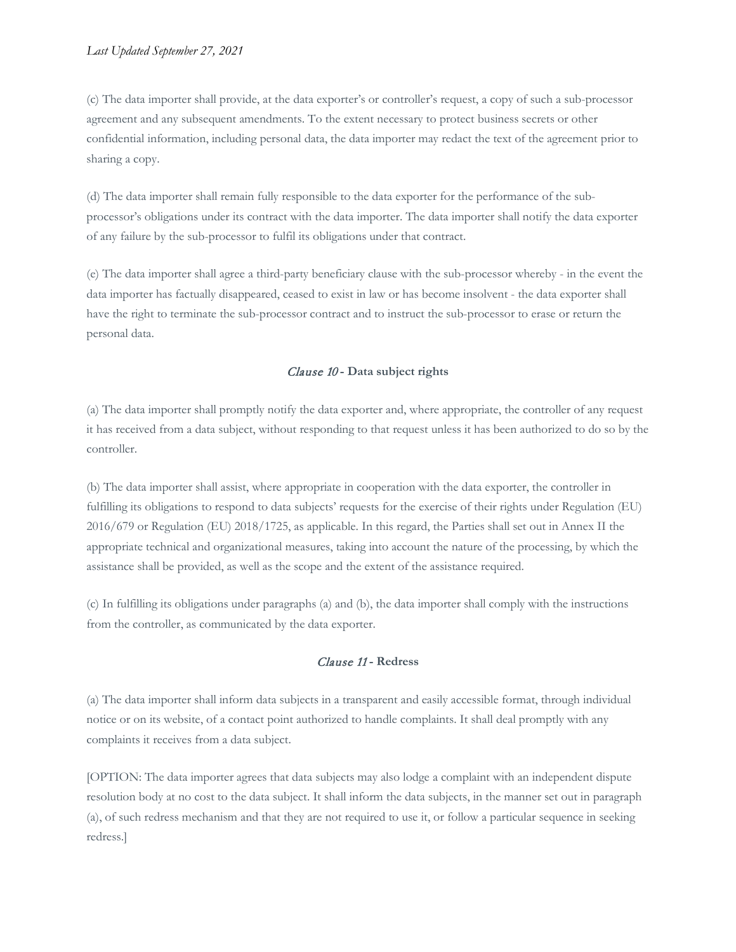(c) The data importer shall provide, at the data exporter's or controller's request, a copy of such a sub-processor agreement and any subsequent amendments. To the extent necessary to protect business secrets or other confidential information, including personal data, the data importer may redact the text of the agreement prior to sharing a copy.

(d) The data importer shall remain fully responsible to the data exporter for the performance of the subprocessor's obligations under its contract with the data importer. The data importer shall notify the data exporter of any failure by the sub-processor to fulfil its obligations under that contract.

(e) The data importer shall agree a third-party beneficiary clause with the sub-processor whereby - in the event the data importer has factually disappeared, ceased to exist in law or has become insolvent - the data exporter shall have the right to terminate the sub-processor contract and to instruct the sub-processor to erase or return the personal data.

# Clause 10 **- Data subject rights**

(a) The data importer shall promptly notify the data exporter and, where appropriate, the controller of any request it has received from a data subject, without responding to that request unless it has been authorized to do so by the controller.

(b) The data importer shall assist, where appropriate in cooperation with the data exporter, the controller in fulfilling its obligations to respond to data subjects' requests for the exercise of their rights under Regulation (EU) 2016/679 or Regulation (EU) 2018/1725, as applicable. In this regard, the Parties shall set out in Annex II the appropriate technical and organizational measures, taking into account the nature of the processing, by which the assistance shall be provided, as well as the scope and the extent of the assistance required.

(c) In fulfilling its obligations under paragraphs (a) and (b), the data importer shall comply with the instructions from the controller, as communicated by the data exporter.

# Clause 11 **- Redress**

(a) The data importer shall inform data subjects in a transparent and easily accessible format, through individual notice or on its website, of a contact point authorized to handle complaints. It shall deal promptly with any complaints it receives from a data subject.

[OPTION: The data importer agrees that data subjects may also lodge a complaint with an independent dispute resolution body at no cost to the data subject. It shall inform the data subjects, in the manner set out in paragraph (a), of such redress mechanism and that they are not required to use it, or follow a particular sequence in seeking redress.]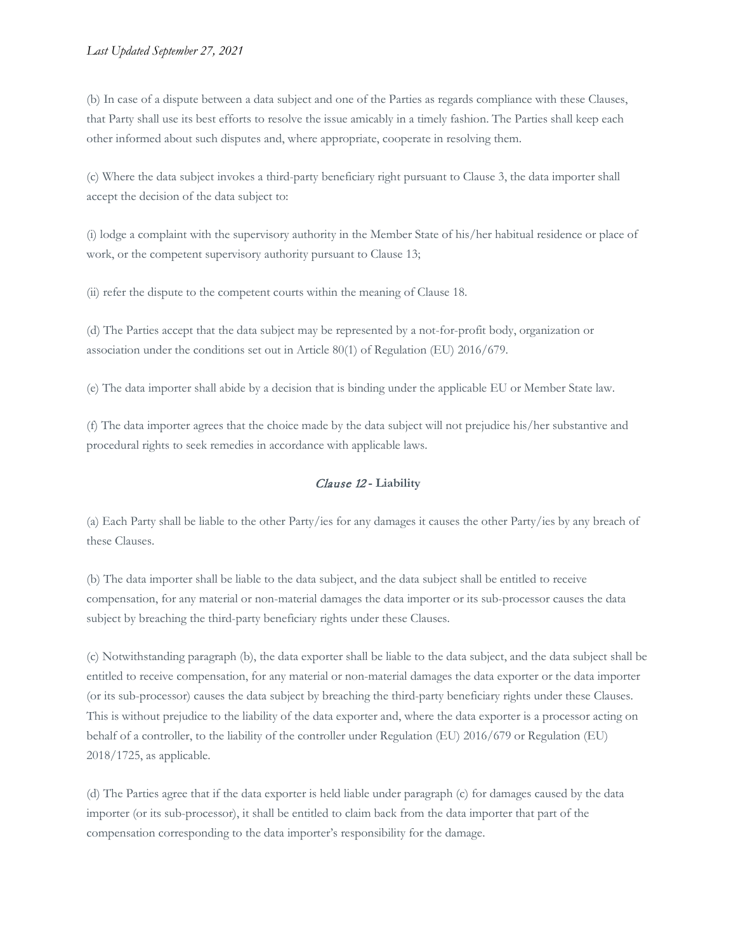(b) In case of a dispute between a data subject and one of the Parties as regards compliance with these Clauses, that Party shall use its best efforts to resolve the issue amicably in a timely fashion. The Parties shall keep each other informed about such disputes and, where appropriate, cooperate in resolving them.

(c) Where the data subject invokes a third-party beneficiary right pursuant to Clause 3, the data importer shall accept the decision of the data subject to:

(i) lodge a complaint with the supervisory authority in the Member State of his/her habitual residence or place of work, or the competent supervisory authority pursuant to Clause 13;

(ii) refer the dispute to the competent courts within the meaning of Clause 18.

(d) The Parties accept that the data subject may be represented by a not-for-profit body, organization or association under the conditions set out in Article 80(1) of Regulation (EU) 2016/679.

(e) The data importer shall abide by a decision that is binding under the applicable EU or Member State law.

(f) The data importer agrees that the choice made by the data subject will not prejudice his/her substantive and procedural rights to seek remedies in accordance with applicable laws.

# Clause 12 **- Liability**

(a) Each Party shall be liable to the other Party/ies for any damages it causes the other Party/ies by any breach of these Clauses.

(b) The data importer shall be liable to the data subject, and the data subject shall be entitled to receive compensation, for any material or non-material damages the data importer or its sub-processor causes the data subject by breaching the third-party beneficiary rights under these Clauses.

(c) Notwithstanding paragraph (b), the data exporter shall be liable to the data subject, and the data subject shall be entitled to receive compensation, for any material or non-material damages the data exporter or the data importer (or its sub-processor) causes the data subject by breaching the third-party beneficiary rights under these Clauses. This is without prejudice to the liability of the data exporter and, where the data exporter is a processor acting on behalf of a controller, to the liability of the controller under Regulation (EU) 2016/679 or Regulation (EU) 2018/1725, as applicable.

(d) The Parties agree that if the data exporter is held liable under paragraph (c) for damages caused by the data importer (or its sub-processor), it shall be entitled to claim back from the data importer that part of the compensation corresponding to the data importer's responsibility for the damage.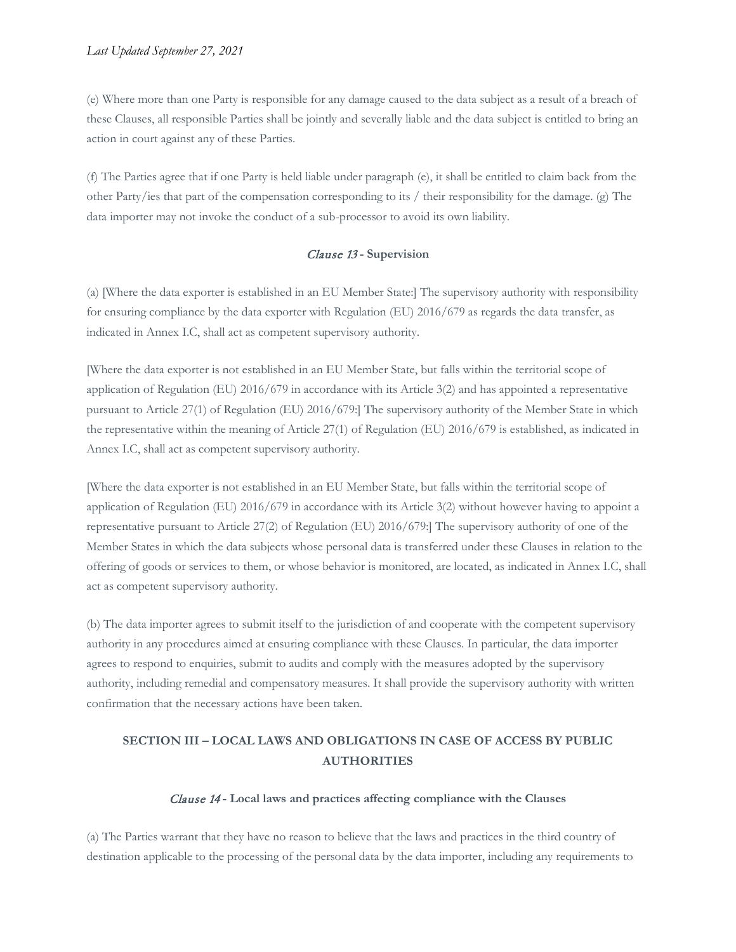(e) Where more than one Party is responsible for any damage caused to the data subject as a result of a breach of these Clauses, all responsible Parties shall be jointly and severally liable and the data subject is entitled to bring an action in court against any of these Parties.

(f) The Parties agree that if one Party is held liable under paragraph (e), it shall be entitled to claim back from the other Party/ies that part of the compensation corresponding to its / their responsibility for the damage. (g) The data importer may not invoke the conduct of a sub-processor to avoid its own liability.

# Clause 13 **- Supervision**

(a) [Where the data exporter is established in an EU Member State:] The supervisory authority with responsibility for ensuring compliance by the data exporter with Regulation (EU) 2016/679 as regards the data transfer, as indicated in Annex I.C, shall act as competent supervisory authority.

[Where the data exporter is not established in an EU Member State, but falls within the territorial scope of application of Regulation (EU) 2016/679 in accordance with its Article 3(2) and has appointed a representative pursuant to Article 27(1) of Regulation (EU) 2016/679:] The supervisory authority of the Member State in which the representative within the meaning of Article 27(1) of Regulation (EU) 2016/679 is established, as indicated in Annex I.C, shall act as competent supervisory authority.

[Where the data exporter is not established in an EU Member State, but falls within the territorial scope of application of Regulation (EU) 2016/679 in accordance with its Article 3(2) without however having to appoint a representative pursuant to Article 27(2) of Regulation (EU) 2016/679:] The supervisory authority of one of the Member States in which the data subjects whose personal data is transferred under these Clauses in relation to the offering of goods or services to them, or whose behavior is monitored, are located, as indicated in Annex I.C, shall act as competent supervisory authority.

(b) The data importer agrees to submit itself to the jurisdiction of and cooperate with the competent supervisory authority in any procedures aimed at ensuring compliance with these Clauses. In particular, the data importer agrees to respond to enquiries, submit to audits and comply with the measures adopted by the supervisory authority, including remedial and compensatory measures. It shall provide the supervisory authority with written confirmation that the necessary actions have been taken.

# **SECTION III – LOCAL LAWS AND OBLIGATIONS IN CASE OF ACCESS BY PUBLIC AUTHORITIES**

# Clause 14 **- Local laws and practices affecting compliance with the Clauses**

(a) The Parties warrant that they have no reason to believe that the laws and practices in the third country of destination applicable to the processing of the personal data by the data importer, including any requirements to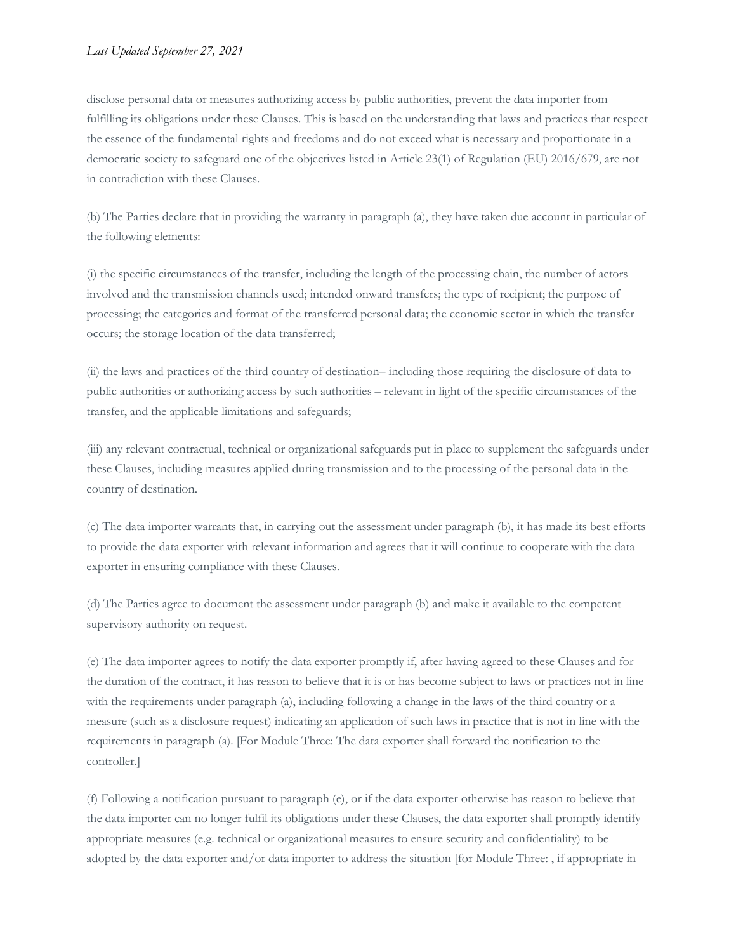disclose personal data or measures authorizing access by public authorities, prevent the data importer from fulfilling its obligations under these Clauses. This is based on the understanding that laws and practices that respect the essence of the fundamental rights and freedoms and do not exceed what is necessary and proportionate in a democratic society to safeguard one of the objectives listed in Article 23(1) of Regulation (EU) 2016/679, are not in contradiction with these Clauses.

(b) The Parties declare that in providing the warranty in paragraph (a), they have taken due account in particular of the following elements:

(i) the specific circumstances of the transfer, including the length of the processing chain, the number of actors involved and the transmission channels used; intended onward transfers; the type of recipient; the purpose of processing; the categories and format of the transferred personal data; the economic sector in which the transfer occurs; the storage location of the data transferred;

(ii) the laws and practices of the third country of destination– including those requiring the disclosure of data to public authorities or authorizing access by such authorities – relevant in light of the specific circumstances of the transfer, and the applicable limitations and safeguards;

(iii) any relevant contractual, technical or organizational safeguards put in place to supplement the safeguards under these Clauses, including measures applied during transmission and to the processing of the personal data in the country of destination.

(c) The data importer warrants that, in carrying out the assessment under paragraph (b), it has made its best efforts to provide the data exporter with relevant information and agrees that it will continue to cooperate with the data exporter in ensuring compliance with these Clauses.

(d) The Parties agree to document the assessment under paragraph (b) and make it available to the competent supervisory authority on request.

(e) The data importer agrees to notify the data exporter promptly if, after having agreed to these Clauses and for the duration of the contract, it has reason to believe that it is or has become subject to laws or practices not in line with the requirements under paragraph (a), including following a change in the laws of the third country or a measure (such as a disclosure request) indicating an application of such laws in practice that is not in line with the requirements in paragraph (a). [For Module Three: The data exporter shall forward the notification to the controller.]

(f) Following a notification pursuant to paragraph (e), or if the data exporter otherwise has reason to believe that the data importer can no longer fulfil its obligations under these Clauses, the data exporter shall promptly identify appropriate measures (e.g. technical or organizational measures to ensure security and confidentiality) to be adopted by the data exporter and/or data importer to address the situation [for Module Three: , if appropriate in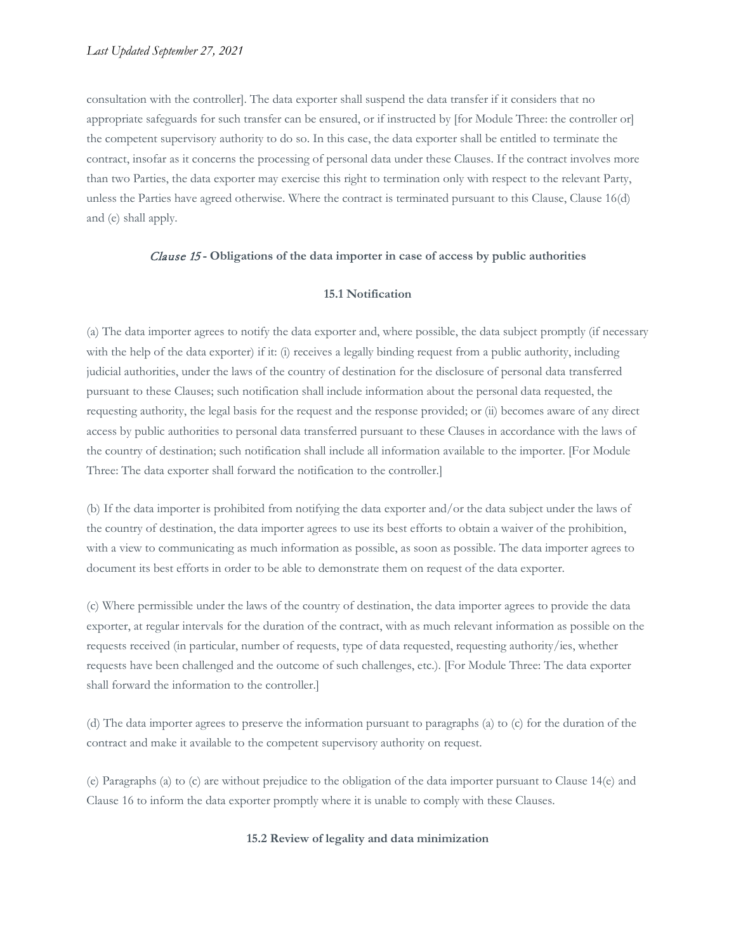consultation with the controller]. The data exporter shall suspend the data transfer if it considers that no appropriate safeguards for such transfer can be ensured, or if instructed by [for Module Three: the controller or] the competent supervisory authority to do so. In this case, the data exporter shall be entitled to terminate the contract, insofar as it concerns the processing of personal data under these Clauses. If the contract involves more than two Parties, the data exporter may exercise this right to termination only with respect to the relevant Party, unless the Parties have agreed otherwise. Where the contract is terminated pursuant to this Clause, Clause 16(d) and (e) shall apply.

### Clause 15 **- Obligations of the data importer in case of access by public authorities**

### **15.1 Notification**

(a) The data importer agrees to notify the data exporter and, where possible, the data subject promptly (if necessary with the help of the data exporter) if it: (i) receives a legally binding request from a public authority, including judicial authorities, under the laws of the country of destination for the disclosure of personal data transferred pursuant to these Clauses; such notification shall include information about the personal data requested, the requesting authority, the legal basis for the request and the response provided; or (ii) becomes aware of any direct access by public authorities to personal data transferred pursuant to these Clauses in accordance with the laws of the country of destination; such notification shall include all information available to the importer. [For Module Three: The data exporter shall forward the notification to the controller.]

(b) If the data importer is prohibited from notifying the data exporter and/or the data subject under the laws of the country of destination, the data importer agrees to use its best efforts to obtain a waiver of the prohibition, with a view to communicating as much information as possible, as soon as possible. The data importer agrees to document its best efforts in order to be able to demonstrate them on request of the data exporter.

(c) Where permissible under the laws of the country of destination, the data importer agrees to provide the data exporter, at regular intervals for the duration of the contract, with as much relevant information as possible on the requests received (in particular, number of requests, type of data requested, requesting authority/ies, whether requests have been challenged and the outcome of such challenges, etc.). [For Module Three: The data exporter shall forward the information to the controller.]

(d) The data importer agrees to preserve the information pursuant to paragraphs (a) to (c) for the duration of the contract and make it available to the competent supervisory authority on request.

(e) Paragraphs (a) to (c) are without prejudice to the obligation of the data importer pursuant to Clause 14(e) and Clause 16 to inform the data exporter promptly where it is unable to comply with these Clauses.

#### **15.2 Review of legality and data minimization**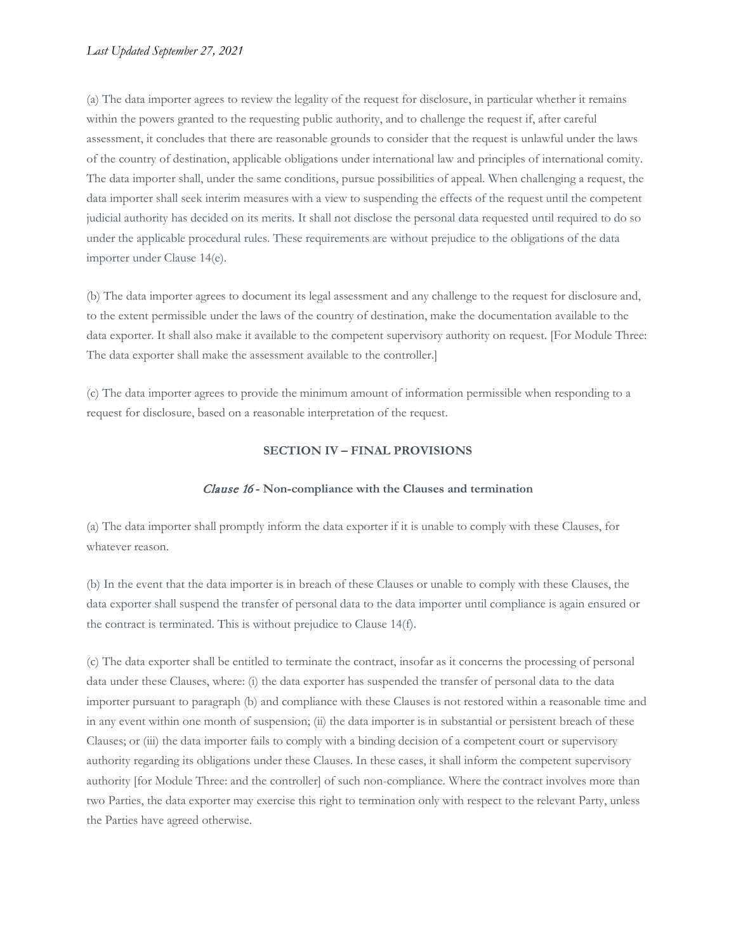(a) The data importer agrees to review the legality of the request for disclosure, in particular whether it remains within the powers granted to the requesting public authority, and to challenge the request if, after careful assessment, it concludes that there are reasonable grounds to consider that the request is unlawful under the laws of the country of destination, applicable obligations under international law and principles of international comity. The data importer shall, under the same conditions, pursue possibilities of appeal. When challenging a request, the data importer shall seek interim measures with a view to suspending the effects of the request until the competent judicial authority has decided on its merits. It shall not disclose the personal data requested until required to do so under the applicable procedural rules. These requirements are without prejudice to the obligations of the data importer under Clause 14(e).

(b) The data importer agrees to document its legal assessment and any challenge to the request for disclosure and, to the extent permissible under the laws of the country of destination, make the documentation available to the data exporter. It shall also make it available to the competent supervisory authority on request. [For Module Three: The data exporter shall make the assessment available to the controller.]

(c) The data importer agrees to provide the minimum amount of information permissible when responding to a request for disclosure, based on a reasonable interpretation of the request.

# **SECTION IV – FINAL PROVISIONS**

# Clause 16 **- Non-compliance with the Clauses and termination**

(a) The data importer shall promptly inform the data exporter if it is unable to comply with these Clauses, for whatever reason.

(b) In the event that the data importer is in breach of these Clauses or unable to comply with these Clauses, the data exporter shall suspend the transfer of personal data to the data importer until compliance is again ensured or the contract is terminated. This is without prejudice to Clause 14(f).

(c) The data exporter shall be entitled to terminate the contract, insofar as it concerns the processing of personal data under these Clauses, where: (i) the data exporter has suspended the transfer of personal data to the data importer pursuant to paragraph (b) and compliance with these Clauses is not restored within a reasonable time and in any event within one month of suspension; (ii) the data importer is in substantial or persistent breach of these Clauses; or (iii) the data importer fails to comply with a binding decision of a competent court or supervisory authority regarding its obligations under these Clauses. In these cases, it shall inform the competent supervisory authority [for Module Three: and the controller] of such non-compliance. Where the contract involves more than two Parties, the data exporter may exercise this right to termination only with respect to the relevant Party, unless the Parties have agreed otherwise.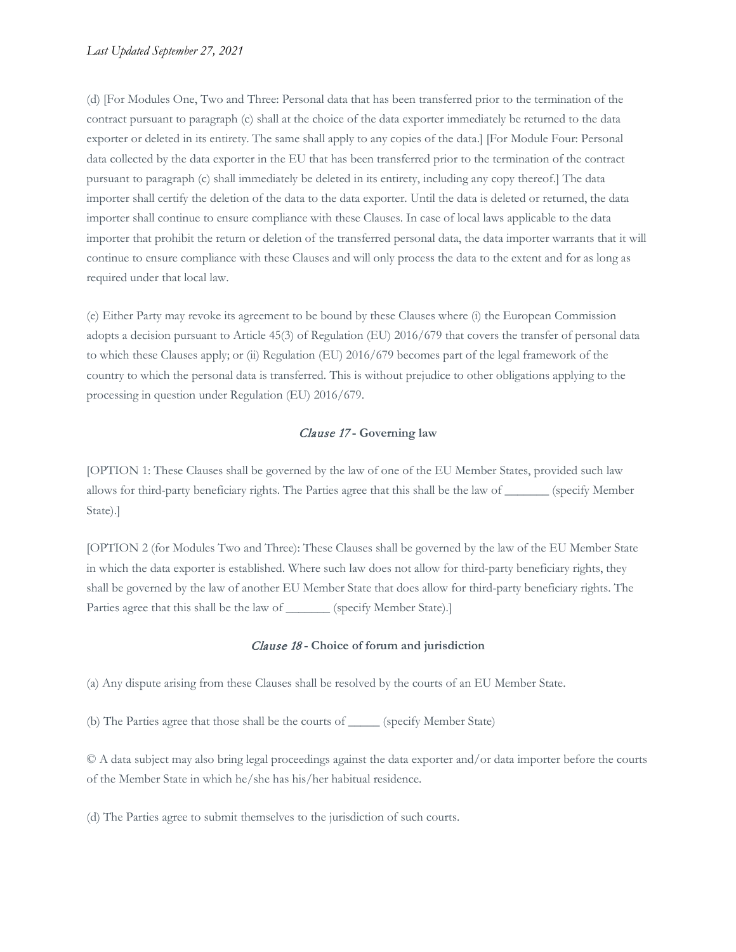(d) [For Modules One, Two and Three: Personal data that has been transferred prior to the termination of the contract pursuant to paragraph (c) shall at the choice of the data exporter immediately be returned to the data exporter or deleted in its entirety. The same shall apply to any copies of the data.] [For Module Four: Personal data collected by the data exporter in the EU that has been transferred prior to the termination of the contract pursuant to paragraph (c) shall immediately be deleted in its entirety, including any copy thereof.] The data importer shall certify the deletion of the data to the data exporter. Until the data is deleted or returned, the data importer shall continue to ensure compliance with these Clauses. In case of local laws applicable to the data importer that prohibit the return or deletion of the transferred personal data, the data importer warrants that it will continue to ensure compliance with these Clauses and will only process the data to the extent and for as long as required under that local law.

(e) Either Party may revoke its agreement to be bound by these Clauses where (i) the European Commission adopts a decision pursuant to Article 45(3) of Regulation (EU) 2016/679 that covers the transfer of personal data to which these Clauses apply; or (ii) Regulation (EU) 2016/679 becomes part of the legal framework of the country to which the personal data is transferred. This is without prejudice to other obligations applying to the processing in question under Regulation (EU) 2016/679.

# Clause 17 **- Governing law**

[OPTION 1: These Clauses shall be governed by the law of one of the EU Member States, provided such law allows for third-party beneficiary rights. The Parties agree that this shall be the law of \_\_\_\_\_\_\_ (specify Member State).]

[OPTION 2 (for Modules Two and Three): These Clauses shall be governed by the law of the EU Member State in which the data exporter is established. Where such law does not allow for third-party beneficiary rights, they shall be governed by the law of another EU Member State that does allow for third-party beneficiary rights. The Parties agree that this shall be the law of \_\_\_\_\_\_\_\_ (specify Member State).]

# Clause 18 **- Choice of forum and jurisdiction**

(a) Any dispute arising from these Clauses shall be resolved by the courts of an EU Member State.

(b) The Parties agree that those shall be the courts of \_\_\_\_\_ (specify Member State)

© A data subject may also bring legal proceedings against the data exporter and/or data importer before the courts of the Member State in which he/she has his/her habitual residence.

(d) The Parties agree to submit themselves to the jurisdiction of such courts.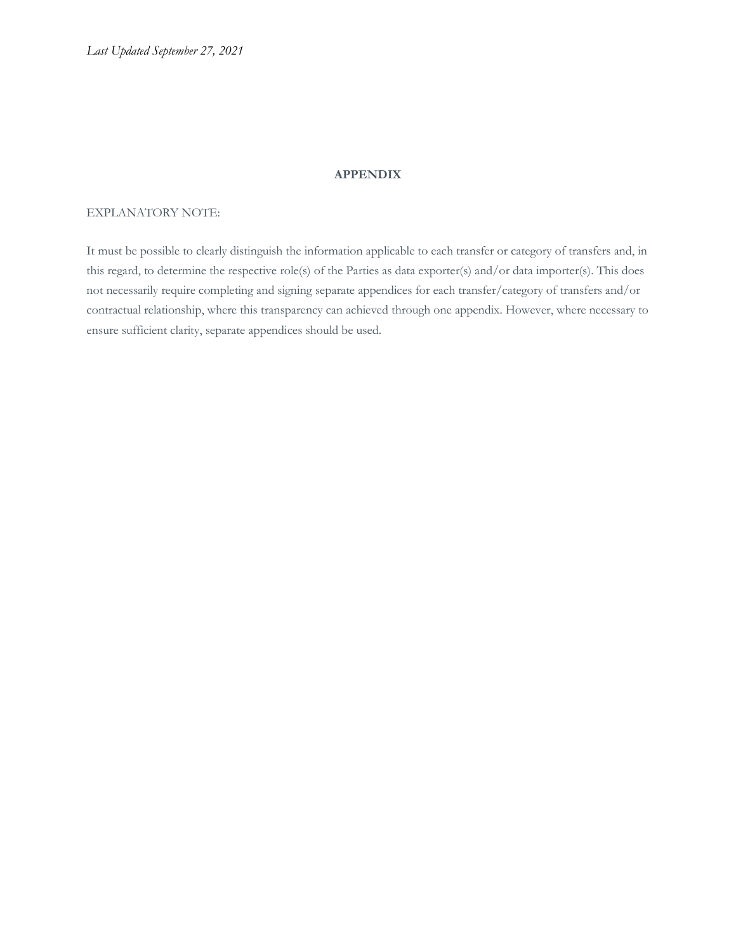# **APPENDIX**

### EXPLANATORY NOTE:

It must be possible to clearly distinguish the information applicable to each transfer or category of transfers and, in this regard, to determine the respective role(s) of the Parties as data exporter(s) and/or data importer(s). This does not necessarily require completing and signing separate appendices for each transfer/category of transfers and/or contractual relationship, where this transparency can achieved through one appendix. However, where necessary to ensure sufficient clarity, separate appendices should be used.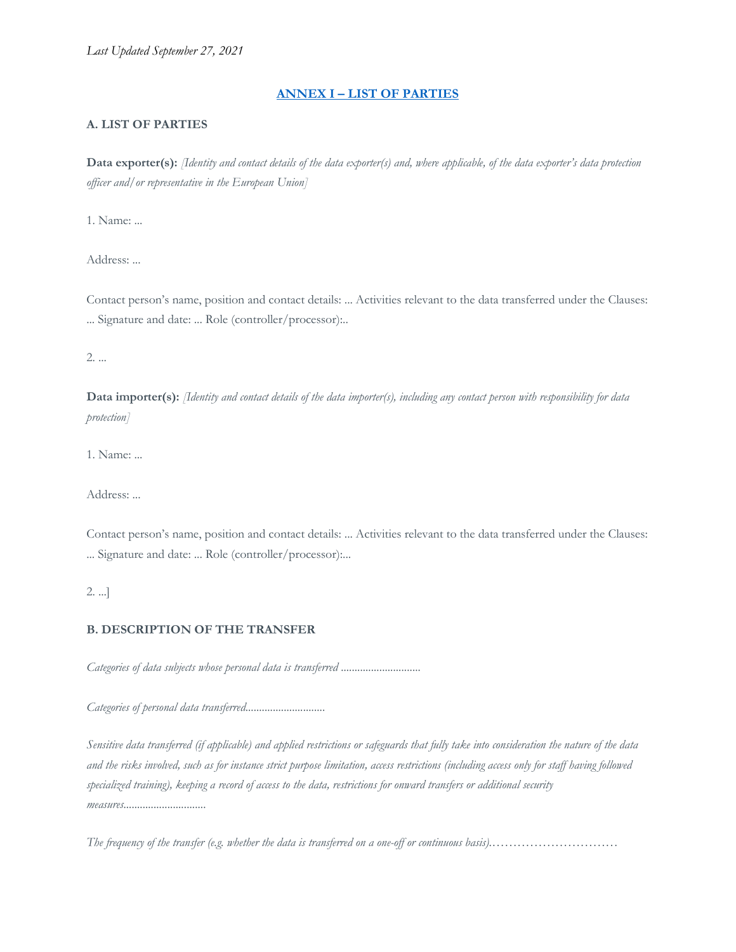# **ANNEX I – [LIST OF PARTIES](#page-0-2)**

# <span id="page-31-0"></span>**A. LIST OF PARTIES**

Data exporter(s): *[Identity and contact details of the data exporter(s) and, where applicable, of the data exporter's data protection officer and/or representative in the European Union]*

1. Name: ...

Address: ...

Contact person's name, position and contact details: ... Activities relevant to the data transferred under the Clauses: ... Signature and date: ... Role (controller/processor):..

2. ...

**Data importer(s):** *[Identity and contact details of the data importer(s), including any contact person with responsibility for data protection]*

1. Name: ...

Address: ...

Contact person's name, position and contact details: ... Activities relevant to the data transferred under the Clauses: ... Signature and date: ... Role (controller/processor):...

2. ...]

# **B. DESCRIPTION OF THE TRANSFER**

*Categories of data subjects whose personal data is transferred .............................*

*Categories of personal data transferred.............................*

*Sensitive data transferred (if applicable) and applied restrictions or safeguards that fully take into consideration the nature of the data and the risks involved, such as for instance strict purpose limitation, access restrictions (including access only for staff having followed specialized training), keeping a record of access to the data, restrictions for onward transfers or additional security measures..............................*

*The frequency of the transfer (e.g. whether the data is transferred on a one-off or continuous basis)*.…………………………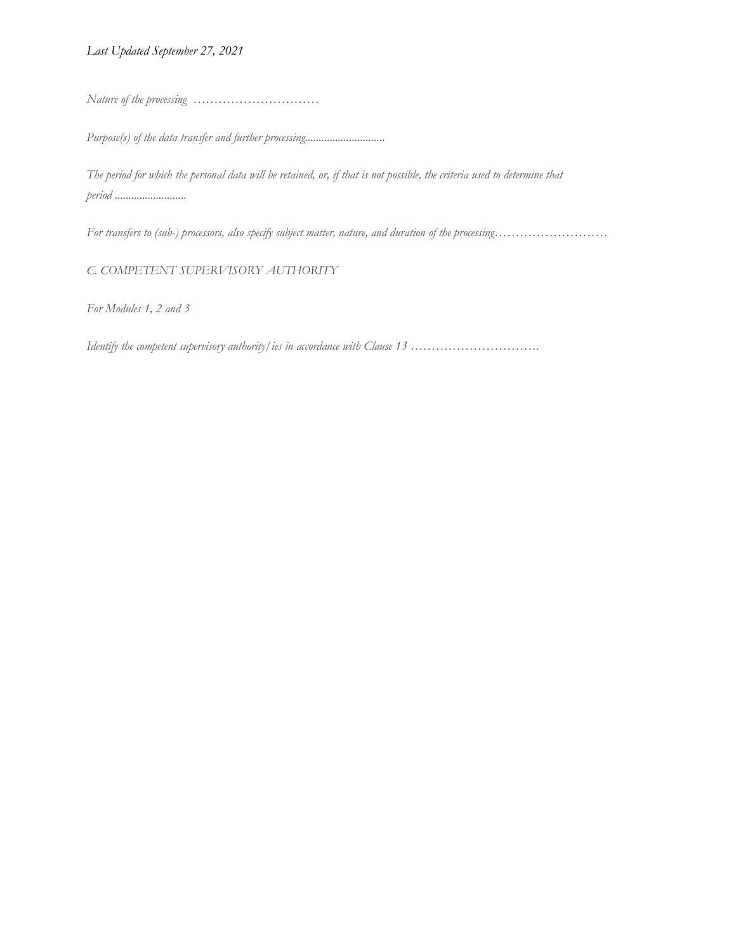*Nature of the processing* …………………………

*Purpose(s) of the data transfer and further processing...........................* 

*The period for which the personal data will be retained, or, if that is not possible, the criteria used to determine that period ..........................*

*For transfers to (sub-) processors, also specify subject matter, nature, and duration of the processing………………………*

*C. COMPETENT SUPERVISORY AUTHORITY*

*For Modules 1, 2 and 3*

<span id="page-32-0"></span>*Identify the competent supervisory authority/ies in accordance with Clause 13* ………………………….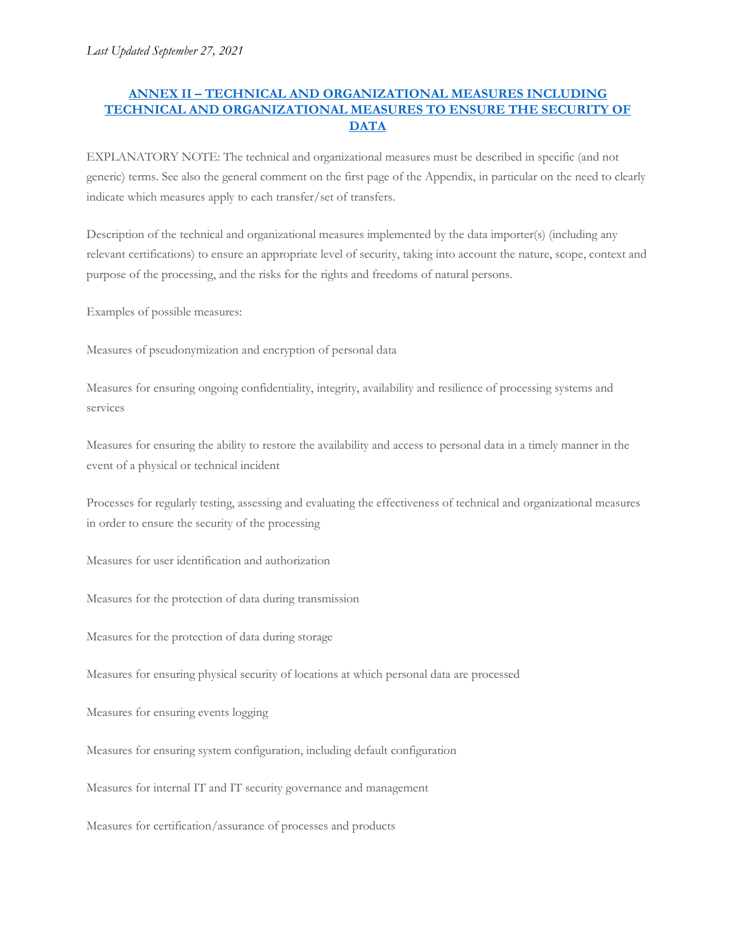# **ANNEX II – TECHNICAL AND ORGANIZATIONAL MEASURES INCLUDING TECHNICAL AND ORGANIZATIONAL MEASURES TO ENSURE THE SECURITY OF DATA**

EXPLANATORY NOTE: The technical and organizational measures must be described in specific (and not generic) terms. See also the general comment on the first page of the Appendix, in particular on the need to clearly indicate which measures apply to each transfer/set of transfers.

Description of the technical and organizational measures implemented by the data importer(s) (including any relevant certifications) to ensure an appropriate level of security, taking into account the nature, scope, context and purpose of the processing, and the risks for the rights and freedoms of natural persons.

Examples of possible measures:

Measures of pseudonymization and encryption of personal data

Measures for ensuring ongoing confidentiality, integrity, availability and resilience of processing systems and services

Measures for ensuring the ability to restore the availability and access to personal data in a timely manner in the event of a physical or technical incident

Processes for regularly testing, assessing and evaluating the effectiveness of technical and organizational measures in order to ensure the security of the processing

Measures for user identification and authorization

Measures for the protection of data during transmission

Measures for the protection of data during storage

Measures for ensuring physical security of locations at which personal data are processed

Measures for ensuring events logging

Measures for ensuring system configuration, including default configuration

Measures for internal IT and IT security governance and management

Measures for certification/assurance of processes and products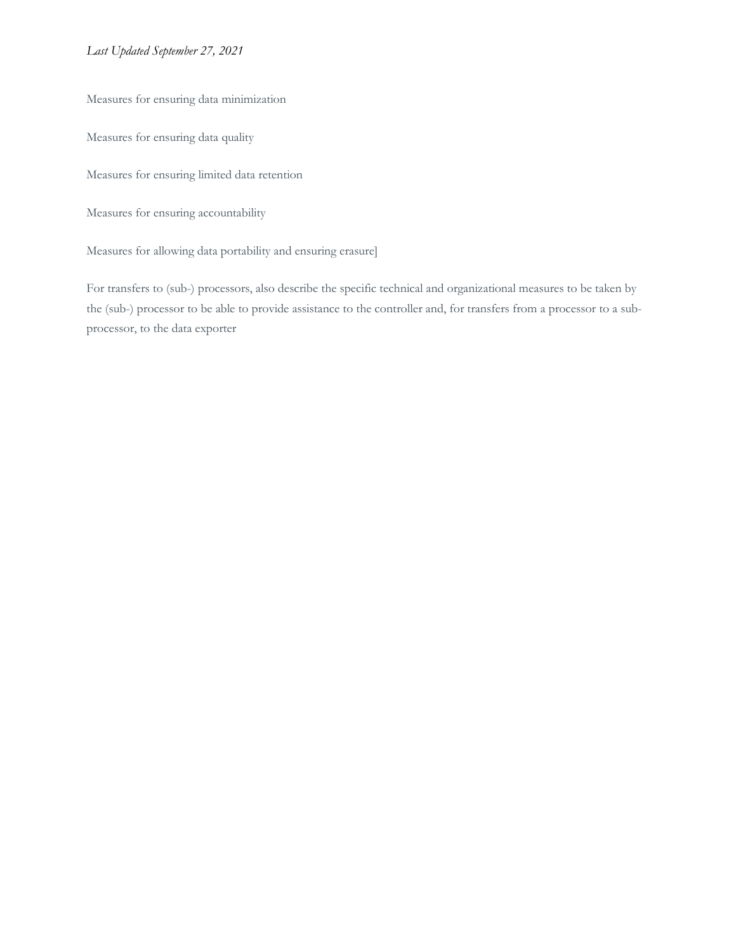Measures for ensuring data minimization

Measures for ensuring data quality

Measures for ensuring limited data retention

Measures for ensuring accountability

Measures for allowing data portability and ensuring erasure]

<span id="page-34-0"></span>For transfers to (sub-) processors, also describe the specific technical and organizational measures to be taken by the (sub-) processor to be able to provide assistance to the controller and, for transfers from a processor to a subprocessor, to the data exporter